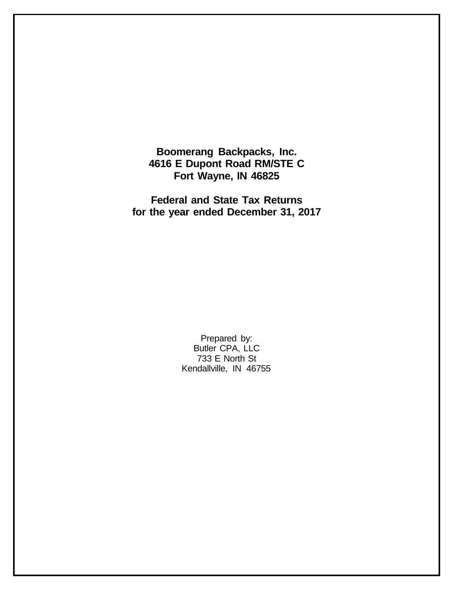**Boomerang Backpacks, Inc. 4616 E Dupont Road RM/STE C Fort Wayne, IN 46825**

**Federal and State Tax Returns for the year ended December 31, 2017**

> Prepared by: Butler CPA, LLC 733 E North St Kendallville, IN 46755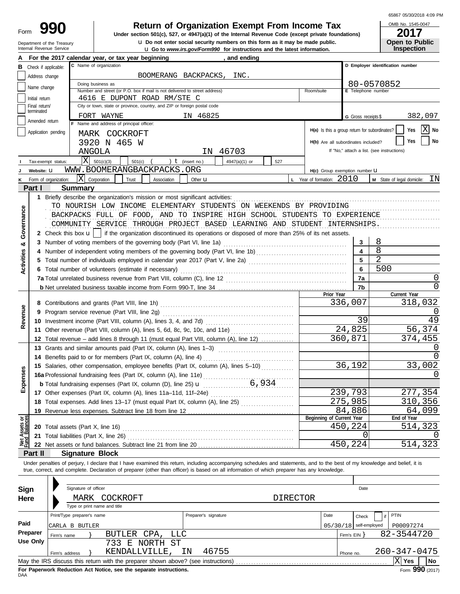# Department of the Treasury<br>Internal Revenue Service

# **Return of Organization Exempt From Income Tax**

**u** Go to *www.irs.gov/Form990* for instructions and the latest information. **u** Do not enter social security numbers on this form as it may be made public. **Under section 501(c), 527, or 4947(a)(1) of the Internal Revenue Code (except private foundations)** 65867 05/30/2018 4:09 PM

| OMB No. 1545-0047     |
|-----------------------|
| 2017                  |
| <b>Open to Public</b> |
| <b>Inspection</b>     |

|                   |                             | For the 2017 calendar year, or tax year beginning                                                                                                                                                                                                                                                                        | and ending                                                                   |                                               |                          |                                            |  |  |  |
|-------------------|-----------------------------|--------------------------------------------------------------------------------------------------------------------------------------------------------------------------------------------------------------------------------------------------------------------------------------------------------------------------|------------------------------------------------------------------------------|-----------------------------------------------|--------------------------|--------------------------------------------|--|--|--|
| в                 |                             | C Name of organization<br>Check if applicable:                                                                                                                                                                                                                                                                           |                                                                              |                                               |                          | D Employer identification number           |  |  |  |
|                   | Address change              | BOOMERANG BACKPACKS,                                                                                                                                                                                                                                                                                                     | INC.                                                                         |                                               |                          |                                            |  |  |  |
|                   | Name change                 | Doing business as                                                                                                                                                                                                                                                                                                        |                                                                              |                                               |                          | 80-0570852                                 |  |  |  |
|                   |                             | Number and street (or P.O. box if mail is not delivered to street address)                                                                                                                                                                                                                                               |                                                                              | Room/suite                                    | E Telephone number       |                                            |  |  |  |
|                   | Initial return              | 4616 E DUPONT ROAD RM/STE C                                                                                                                                                                                                                                                                                              |                                                                              |                                               |                          |                                            |  |  |  |
|                   | Final return/<br>terminated | City or town, state or province, country, and ZIP or foreign postal code                                                                                                                                                                                                                                                 |                                                                              |                                               |                          |                                            |  |  |  |
|                   | Amended return              | FORT WAYNE                                                                                                                                                                                                                                                                                                               | IN 46825                                                                     |                                               | G Gross receipts \$      | 382,097                                    |  |  |  |
|                   |                             | F Name and address of principal officer:                                                                                                                                                                                                                                                                                 |                                                                              | H(a) Is this a group return for subordinates? |                          | $ X $ No<br>Yes                            |  |  |  |
|                   |                             | Application pending<br>MARK COCKROFT                                                                                                                                                                                                                                                                                     |                                                                              |                                               |                          |                                            |  |  |  |
|                   |                             | 3920 N 465 W                                                                                                                                                                                                                                                                                                             |                                                                              | H(b) Are all subordinates included?           |                          | No<br>Yes                                  |  |  |  |
|                   |                             | ANGOLA                                                                                                                                                                                                                                                                                                                   | 46703<br>IN                                                                  |                                               |                          | If "No," attach a list. (see instructions) |  |  |  |
|                   |                             | lxl<br>501(c)(3)<br>) $t$ (insert no.)<br>501(c)<br>Tax-exempt status:                                                                                                                                                                                                                                                   | 4947(a)(1) or<br>527                                                         |                                               |                          |                                            |  |  |  |
|                   | Website: U                  | WWW.BOOMERANGBACKPACKS.ORG                                                                                                                                                                                                                                                                                               |                                                                              | H(c) Group exemption number LI                |                          |                                            |  |  |  |
| κ                 |                             | X Corporation<br>Trust<br>Association<br>Form of organization:                                                                                                                                                                                                                                                           | Other $\mathbf u$                                                            | <b>L</b> Year of formation: $2010$            |                          | $M$ State of legal domicile: $IN$          |  |  |  |
|                   | Part I                      | <b>Summary</b>                                                                                                                                                                                                                                                                                                           |                                                                              |                                               |                          |                                            |  |  |  |
|                   |                             |                                                                                                                                                                                                                                                                                                                          |                                                                              |                                               |                          |                                            |  |  |  |
|                   |                             | TO NOURISH LOW INCOME ELEMENTARY STUDENTS ON WEEKENDS BY PROVIDING                                                                                                                                                                                                                                                       |                                                                              |                                               |                          |                                            |  |  |  |
|                   |                             | BACKPACKS FULL OF FOOD, AND TO INSPIRE HIGH SCHOOL STUDENTS TO EXPERIENCE                                                                                                                                                                                                                                                |                                                                              |                                               |                          |                                            |  |  |  |
| Governance        |                             | COMMUNITY SERVICE THROUGH PROJECT BASED LEARNING AND STUDENT INTERNSHIPS.                                                                                                                                                                                                                                                |                                                                              |                                               |                          |                                            |  |  |  |
|                   |                             |                                                                                                                                                                                                                                                                                                                          |                                                                              |                                               |                          |                                            |  |  |  |
|                   |                             | 2 Check this box $\mathbf{u}$   if the organization discontinued its operations or disposed of more than 25% of its net assets.                                                                                                                                                                                          |                                                                              |                                               |                          |                                            |  |  |  |
| ಯ                 |                             |                                                                                                                                                                                                                                                                                                                          |                                                                              |                                               |                          | 8                                          |  |  |  |
|                   |                             |                                                                                                                                                                                                                                                                                                                          |                                                                              |                                               |                          | 8                                          |  |  |  |
| <b>Activities</b> |                             | 5 Total number of individuals employed in calendar year 2017 (Part V, line 2a) [[[[[[[[[[[[[[[[[[[[[[[[[[[[[[[                                                                                                                                                                                                           |                                                                              |                                               |                          | $\overline{a}$                             |  |  |  |
|                   |                             | 6 Total number of volunteers (estimate if necessary)                                                                                                                                                                                                                                                                     |                                                                              |                                               | 6                        | 500                                        |  |  |  |
|                   |                             |                                                                                                                                                                                                                                                                                                                          |                                                                              |                                               | 7a                       | 0                                          |  |  |  |
|                   |                             |                                                                                                                                                                                                                                                                                                                          |                                                                              |                                               | 7b                       | 0                                          |  |  |  |
|                   |                             |                                                                                                                                                                                                                                                                                                                          |                                                                              | Prior Year                                    |                          | Current Year                               |  |  |  |
|                   |                             |                                                                                                                                                                                                                                                                                                                          |                                                                              |                                               | 336,007                  | 318,032                                    |  |  |  |
| Revenue           | 9                           | Program service revenue (Part VIII, line 2g)                                                                                                                                                                                                                                                                             |                                                                              |                                               | $\left( \right)$         |                                            |  |  |  |
|                   |                             |                                                                                                                                                                                                                                                                                                                          | 39                                                                           |                                               | 49                       |                                            |  |  |  |
|                   |                             | 11 Other revenue (Part VIII, column (A), lines 5, 6d, 8c, 9c, 10c, and 11e)                                                                                                                                                                                                                                              |                                                                              |                                               | 24,825                   | 56,374                                     |  |  |  |
|                   |                             | 12 Total revenue – add lines 8 through 11 (must equal Part VIII, column (A), line 12)                                                                                                                                                                                                                                    |                                                                              | 360,871                                       | 374,455                  |                                            |  |  |  |
|                   |                             |                                                                                                                                                                                                                                                                                                                          |                                                                              |                                               | $\Omega$                 |                                            |  |  |  |
|                   |                             | 14 Benefits paid to or for members (Part IX, column (A), line 4)                                                                                                                                                                                                                                                         |                                                                              |                                               |                          |                                            |  |  |  |
|                   |                             | 15 Salaries, other compensation, employee benefits (Part IX, column (A), lines 5-10)                                                                                                                                                                                                                                     |                                                                              |                                               | 36,192                   | 33,002                                     |  |  |  |
| Expenses          |                             | 16a Professional fundraising fees (Part IX, column (A), line 11e)                                                                                                                                                                                                                                                        |                                                                              |                                               |                          | 0                                          |  |  |  |
|                   |                             | <b>b</b> Total fundraising expenses (Part IX, column (D), line 25) $\mathbf{u}$                                                                                                                                                                                                                                          | 6,934                                                                        |                                               |                          |                                            |  |  |  |
|                   |                             | 17 Other expenses (Part IX, column (A), lines 11a-11d, 11f-24e)                                                                                                                                                                                                                                                          |                                                                              |                                               |                          |                                            |  |  |  |
|                   |                             |                                                                                                                                                                                                                                                                                                                          | 18 Total expenses. Add lines 13-17 (must equal Part IX, column (A), line 25) |                                               |                          |                                            |  |  |  |
|                   |                             | 19 Revenue less expenses. Subtract line 18 from line 12                                                                                                                                                                                                                                                                  |                                                                              |                                               | 275,985<br>84,886        | 310,356<br>64,099                          |  |  |  |
|                   |                             |                                                                                                                                                                                                                                                                                                                          |                                                                              | Beginning of Current Year                     |                          | End of Year                                |  |  |  |
| Net Assets or     |                             | <b>20</b> Total assets (Part X, line 16)                                                                                                                                                                                                                                                                                 |                                                                              |                                               | 450,224                  | 514,323                                    |  |  |  |
|                   |                             |                                                                                                                                                                                                                                                                                                                          |                                                                              |                                               | 0                        |                                            |  |  |  |
|                   |                             | 22 Net assets or fund balances. Subtract line 21 from line 20 <i>manual contract</i> in the 20 manual contract the 21 from line 20 manual contract the 32 manual contract that 32 manual contract the 32 manual contract the 32 man                                                                                      |                                                                              |                                               | 450,224                  | 514,323                                    |  |  |  |
|                   | Part II                     | <b>Signature Block</b>                                                                                                                                                                                                                                                                                                   |                                                                              |                                               |                          |                                            |  |  |  |
|                   |                             |                                                                                                                                                                                                                                                                                                                          |                                                                              |                                               |                          |                                            |  |  |  |
|                   |                             | Under penalties of perjury, I declare that I have examined this return, including accompanying schedules and statements, and to the best of my knowledge and belief, it is<br>true, correct, and complete. Declaration of preparer (other than officer) is based on all information of which preparer has any knowledge. |                                                                              |                                               |                          |                                            |  |  |  |
|                   |                             |                                                                                                                                                                                                                                                                                                                          |                                                                              |                                               |                          |                                            |  |  |  |
|                   |                             |                                                                                                                                                                                                                                                                                                                          |                                                                              |                                               |                          |                                            |  |  |  |
| Sign              |                             | Signature of officer                                                                                                                                                                                                                                                                                                     |                                                                              |                                               | Date                     |                                            |  |  |  |
| Here              |                             | MARK<br>COCKROFT                                                                                                                                                                                                                                                                                                         | <b>DIRECTOR</b>                                                              |                                               |                          |                                            |  |  |  |
|                   |                             | Type or print name and title                                                                                                                                                                                                                                                                                             |                                                                              |                                               |                          |                                            |  |  |  |
|                   |                             | Print/Type preparer's name                                                                                                                                                                                                                                                                                               | Preparer's signature                                                         | Date                                          | Check                    | <b>PTIN</b>                                |  |  |  |
| Paid              |                             | CARLA B BUTLER                                                                                                                                                                                                                                                                                                           |                                                                              |                                               | $05/30/18$ self-employed | P00097274                                  |  |  |  |
|                   | <b>Preparer</b>             | CPA,<br>BUTLER<br>LLC<br>Firm's name                                                                                                                                                                                                                                                                                     |                                                                              |                                               | Firm's EIN }             | 82-3544720                                 |  |  |  |
|                   | Use Only                    | 733 E NORTH ST                                                                                                                                                                                                                                                                                                           |                                                                              |                                               |                          |                                            |  |  |  |
|                   |                             | KENDALLVILLE,<br>ΙN<br>Firm's address                                                                                                                                                                                                                                                                                    | 46755                                                                        |                                               | Phone no.                | 260-347-0475                               |  |  |  |
|                   |                             | May the IRS discuss this return with the preparer shown above? (see instructions)                                                                                                                                                                                                                                        |                                                                              |                                               |                          | X Yes<br>No                                |  |  |  |
|                   |                             |                                                                                                                                                                                                                                                                                                                          |                                                                              |                                               |                          |                                            |  |  |  |

| Sign                         |                                                                                                | Signature of officer |                                                                                   |                      |          |      | Date                     |  |              |    |
|------------------------------|------------------------------------------------------------------------------------------------|----------------------|-----------------------------------------------------------------------------------|----------------------|----------|------|--------------------------|--|--------------|----|
| Here                         |                                                                                                | MARK                 | COCKROFT                                                                          |                      | DIRECTOR |      |                          |  |              |    |
| Type or print name and title |                                                                                                |                      |                                                                                   |                      |          |      |                          |  |              |    |
|                              | Print/Type preparer's name<br>CARLA B BUTLER                                                   |                      |                                                                                   | Preparer's signature |          | Date | Check                    |  | PTIN         |    |
| Paid                         |                                                                                                |                      |                                                                                   |                      |          |      | $05/30/18$ self-employed |  | P00097274    |    |
| Preparer                     | Firm's name                                                                                    |                      | BUTLER CPA, LLC                                                                   |                      |          |      | Firm's $EIN$             |  | 82-3544720   |    |
| Use Only                     |                                                                                                |                      | NORTH ST<br>733<br>E.                                                             |                      |          |      |                          |  |              |    |
|                              | Firm's address                                                                                 |                      | KENDALLVILLE,                                                                     | 46755<br>ΙN          |          |      | Phone no.                |  | 260-347-0475 |    |
|                              |                                                                                                |                      | May the IRS discuss this return with the preparer shown above? (see instructions) |                      |          |      |                          |  | Yes          | No |
|                              | $F_{\text{c}}$ 990 (2017)<br>For Paperwork Reduction Act Notice, see the separate instructions |                      |                                                                                   |                      |          |      |                          |  |              |    |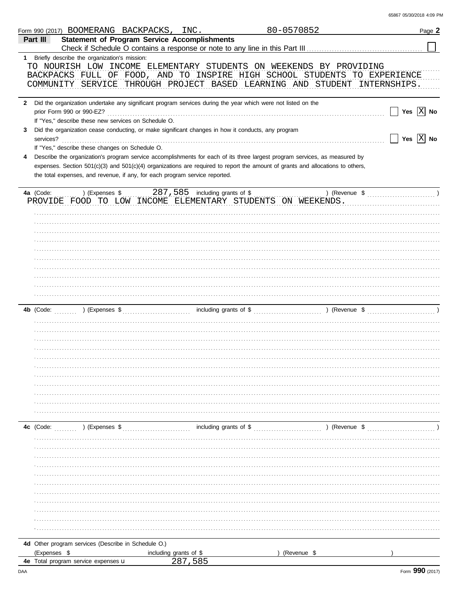| 65867 05/30/2018 4:09 PM |
|--------------------------|
|--------------------------|

|                | Form 990 (2017) BOOMERANG BACKPACKS, INC.                                                                                                                                                                                                                                                                                                                                                      |                                   | 80-0570852 |                                                                                                                                                        | Page 2       |
|----------------|------------------------------------------------------------------------------------------------------------------------------------------------------------------------------------------------------------------------------------------------------------------------------------------------------------------------------------------------------------------------------------------------|-----------------------------------|------------|--------------------------------------------------------------------------------------------------------------------------------------------------------|--------------|
| Part III       | <b>Statement of Program Service Accomplishments</b>                                                                                                                                                                                                                                                                                                                                            |                                   |            | Check if Schedule O contains a response or note to any line in this Part III [11] [11] [11] [11] [11] [11] [1                                          |              |
| $1 \quad$      | Briefly describe the organization's mission:                                                                                                                                                                                                                                                                                                                                                   |                                   |            |                                                                                                                                                        |              |
|                | TO NOURISH LOW INCOME ELEMENTARY STUDENTS ON WEEKENDS BY PROVIDING                                                                                                                                                                                                                                                                                                                             |                                   |            | BACKPACKS FULL OF FOOD, AND TO INSPIRE HIGH SCHOOL STUDENTS TO EXPERIENCE<br>COMMUNITY SERVICE THROUGH PROJECT BASED LEARNING AND STUDENT INTERNSHIPS. |              |
| $\mathbf{2}$   | Did the organization undertake any significant program services during the year which were not listed on the<br>prior Form 990 or 990-EZ?                                                                                                                                                                                                                                                      |                                   |            |                                                                                                                                                        | Yes $ X $ No |
| 3<br>services? | If "Yes," describe these new services on Schedule O.<br>Did the organization cease conducting, or make significant changes in how it conducts, any program                                                                                                                                                                                                                                     |                                   |            |                                                                                                                                                        | Yes $X$ No   |
| 4              | If "Yes," describe these changes on Schedule O.<br>Describe the organization's program service accomplishments for each of its three largest program services, as measured by<br>expenses. Section 501(c)(3) and 501(c)(4) organizations are required to report the amount of grants and allocations to others,<br>the total expenses, and revenue, if any, for each program service reported. |                                   |            |                                                                                                                                                        |              |
| 4a (Code:      | ) (Expenses \$<br>PROVIDE FOOD TO LOW INCOME ELEMENTARY STUDENTS ON WEEKENDS.                                                                                                                                                                                                                                                                                                                  | 287, 585 including grants of \$   |            | $($ Revenue \$                                                                                                                                         |              |
|                |                                                                                                                                                                                                                                                                                                                                                                                                |                                   |            |                                                                                                                                                        |              |
|                |                                                                                                                                                                                                                                                                                                                                                                                                |                                   |            |                                                                                                                                                        |              |
|                |                                                                                                                                                                                                                                                                                                                                                                                                |                                   |            |                                                                                                                                                        |              |
|                |                                                                                                                                                                                                                                                                                                                                                                                                |                                   |            |                                                                                                                                                        |              |
|                |                                                                                                                                                                                                                                                                                                                                                                                                |                                   |            |                                                                                                                                                        |              |
| 4b (Code:      | ) (Expenses \$                                                                                                                                                                                                                                                                                                                                                                                 |                                   |            |                                                                                                                                                        |              |
|                |                                                                                                                                                                                                                                                                                                                                                                                                |                                   |            |                                                                                                                                                        |              |
|                |                                                                                                                                                                                                                                                                                                                                                                                                |                                   |            |                                                                                                                                                        |              |
|                |                                                                                                                                                                                                                                                                                                                                                                                                |                                   |            |                                                                                                                                                        |              |
|                |                                                                                                                                                                                                                                                                                                                                                                                                |                                   |            |                                                                                                                                                        |              |
|                |                                                                                                                                                                                                                                                                                                                                                                                                |                                   |            |                                                                                                                                                        |              |
| 4c (Code:      | ) (Expenses \$                                                                                                                                                                                                                                                                                                                                                                                 | including grants of \$            |            | ) (Revenue \$                                                                                                                                          |              |
|                |                                                                                                                                                                                                                                                                                                                                                                                                |                                   |            |                                                                                                                                                        |              |
|                |                                                                                                                                                                                                                                                                                                                                                                                                |                                   |            |                                                                                                                                                        |              |
|                |                                                                                                                                                                                                                                                                                                                                                                                                |                                   |            |                                                                                                                                                        |              |
|                |                                                                                                                                                                                                                                                                                                                                                                                                |                                   |            |                                                                                                                                                        |              |
|                |                                                                                                                                                                                                                                                                                                                                                                                                |                                   |            |                                                                                                                                                        |              |
|                | 4d Other program services (Describe in Schedule O.)                                                                                                                                                                                                                                                                                                                                            |                                   |            |                                                                                                                                                        |              |
| (Expenses \$   | <b>4e</b> Total program service expenses <b>u</b>                                                                                                                                                                                                                                                                                                                                              | including grants of \$<br>287,585 |            | (Revenue \$                                                                                                                                            |              |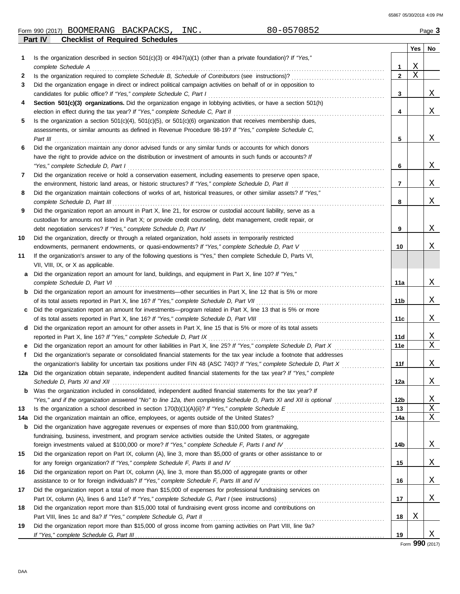65867 05/30/2018 4:09 PM

|  | Form 990 (2017) | <b>BOOMERANG</b> | <b>BACKPACKS</b> | INC. | 70852 | $P$ age, |
|--|-----------------|------------------|------------------|------|-------|----------|
|--|-----------------|------------------|------------------|------|-------|----------|

|     | Part IV<br><b>Checklist of Required Schedules</b>                                                                                                                                                                              |                 |     |    |
|-----|--------------------------------------------------------------------------------------------------------------------------------------------------------------------------------------------------------------------------------|-----------------|-----|----|
|     |                                                                                                                                                                                                                                |                 | Yes | No |
| 1   | Is the organization described in section $501(c)(3)$ or $4947(a)(1)$ (other than a private foundation)? If "Yes,"                                                                                                              |                 |     |    |
|     | complete Schedule A example of the complete schedule A example the state of the state of the state of the state of the state of the state of the state of the state of the state of the state of the state of the state of the | 1               | Χ   |    |
| 2   |                                                                                                                                                                                                                                | $\mathbf{2}$    | X   |    |
| 3   | Did the organization engage in direct or indirect political campaign activities on behalf of or in opposition to                                                                                                               |                 |     |    |
|     |                                                                                                                                                                                                                                | 3               |     | Χ  |
| 4   | Section 501(c)(3) organizations. Did the organization engage in lobbying activities, or have a section 501(h)                                                                                                                  |                 |     |    |
|     |                                                                                                                                                                                                                                | 4               |     | X  |
| 5   | Is the organization a section $501(c)(4)$ , $501(c)(5)$ , or $501(c)(6)$ organization that receives membership dues,                                                                                                           |                 |     |    |
|     | assessments, or similar amounts as defined in Revenue Procedure 98-19? If "Yes," complete Schedule C,                                                                                                                          |                 |     |    |
|     | Part III $\ldots$ . $\ldots$ . $\ldots$ . $\ldots$ . $\ldots$ . $\ldots$ . $\ldots$ . $\ldots$ . $\ldots$ . $\ldots$ . $\ldots$ . $\ldots$ . $\ldots$                                                                          | 5               |     | Χ  |
| 6   | Did the organization maintain any donor advised funds or any similar funds or accounts for which donors                                                                                                                        |                 |     |    |
|     | have the right to provide advice on the distribution or investment of amounts in such funds or accounts? If                                                                                                                    |                 |     |    |
|     | "Yes," complete Schedule D, Part I encourance contract the contract of the Schedule D, Part I encourance contract the set of the set of the set of the set of the set of the set of the set of the set of the set of the set o | 6               |     | Χ  |
| 7   | Did the organization receive or hold a conservation easement, including easements to preserve open space,                                                                                                                      |                 |     |    |
|     |                                                                                                                                                                                                                                | 7               |     | Χ  |
| 8   | Did the organization maintain collections of works of art, historical treasures, or other similar assets? If "Yes,"                                                                                                            |                 |     |    |
|     | complete Schedule D, Part III et al. (2008) and the set of the schedule of the Schedule D, Part III et al. (20                                                                                                                 | 8               |     | Χ  |
| 9   | Did the organization report an amount in Part X, line 21, for escrow or custodial account liability, serve as a                                                                                                                |                 |     |    |
|     | custodian for amounts not listed in Part X; or provide credit counseling, debt management, credit repair, or                                                                                                                   |                 |     |    |
|     |                                                                                                                                                                                                                                | 9               |     | Χ  |
| 10  | Did the organization, directly or through a related organization, hold assets in temporarily restricted                                                                                                                        |                 |     |    |
|     | endowments, permanent endowments, or quasi-endowments? If "Yes," complete Schedule D, Part V [[[[[[[[[[[[[[[[                                                                                                                  | 10              |     | Χ  |
| 11  | If the organization's answer to any of the following questions is "Yes," then complete Schedule D, Parts VI,                                                                                                                   |                 |     |    |
|     | VII, VIII, IX, or X as applicable.                                                                                                                                                                                             |                 |     |    |
|     | a Did the organization report an amount for land, buildings, and equipment in Part X, line 10? If "Yes,"                                                                                                                       |                 |     |    |
|     | complete Schedule D, Part VI et al. et al. et al. et al. et al. et al. et al. et al. et al. et al. et al. et a                                                                                                                 | 11a             |     | X  |
|     | <b>b</b> Did the organization report an amount for investments—other securities in Part X, line 12 that is 5% or more                                                                                                          |                 |     |    |
|     |                                                                                                                                                                                                                                | 11b             |     | Χ  |
|     | c Did the organization report an amount for investments—program related in Part X, line 13 that is 5% or more                                                                                                                  |                 |     |    |
|     |                                                                                                                                                                                                                                | 11c             |     | Χ  |
|     | d Did the organization report an amount for other assets in Part X, line 15 that is 5% or more of its total assets                                                                                                             |                 |     |    |
|     |                                                                                                                                                                                                                                | 11d             |     | Χ  |
|     |                                                                                                                                                                                                                                | 11e             |     | X  |
| f   | Did the organization's separate or consolidated financial statements for the tax year include a footnote that addresses                                                                                                        |                 |     |    |
|     | the organization's liability for uncertain tax positions under FIN 48 (ASC 740)? If "Yes," complete Schedule D, Part X                                                                                                         | 11f             |     | Χ  |
|     | 12a Did the organization obtain separate, independent audited financial statements for the tax year? If "Yes," complete                                                                                                        |                 |     |    |
|     |                                                                                                                                                                                                                                | 12a             |     | Χ  |
|     | <b>b</b> Was the organization included in consolidated, independent audited financial statements for the tax year? If                                                                                                          |                 |     |    |
|     |                                                                                                                                                                                                                                | 12 <sub>b</sub> |     | Χ  |
| 13  |                                                                                                                                                                                                                                | 13              |     | Χ  |
| 14a |                                                                                                                                                                                                                                | 14a             |     | Χ  |
| b   | Did the organization have aggregate revenues or expenses of more than \$10,000 from grantmaking,                                                                                                                               |                 |     |    |
|     | fundraising, business, investment, and program service activities outside the United States, or aggregate                                                                                                                      |                 |     |    |
|     |                                                                                                                                                                                                                                | 14b             |     | Χ  |
| 15  | Did the organization report on Part IX, column (A), line 3, more than \$5,000 of grants or other assistance to or                                                                                                              |                 |     |    |
|     |                                                                                                                                                                                                                                | 15              |     | Χ  |
| 16  | Did the organization report on Part IX, column (A), line 3, more than \$5,000 of aggregate grants or other                                                                                                                     |                 |     |    |
|     |                                                                                                                                                                                                                                | 16              |     | Χ  |
| 17  | Did the organization report a total of more than \$15,000 of expenses for professional fundraising services on                                                                                                                 |                 |     |    |
|     |                                                                                                                                                                                                                                | 17              |     | Χ  |
| 18  | Did the organization report more than \$15,000 total of fundraising event gross income and contributions on                                                                                                                    |                 |     |    |
|     |                                                                                                                                                                                                                                | 18              | Χ   |    |
| 19  | Did the organization report more than \$15,000 of gross income from gaming activities on Part VIII, line 9a?                                                                                                                   |                 |     |    |
|     |                                                                                                                                                                                                                                | 19              |     | Χ  |

Form **990** (2017)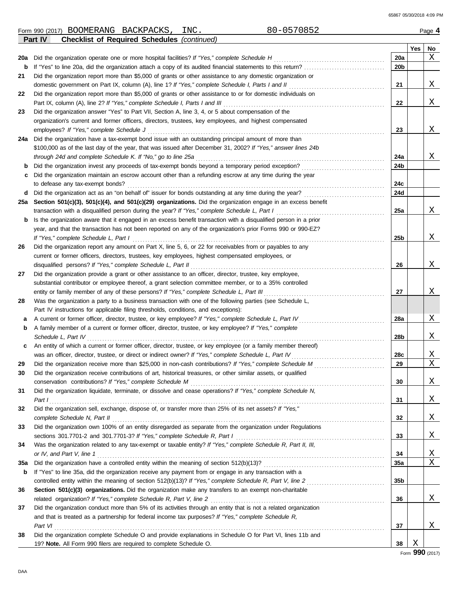|     | 80-0570852<br>Form 990 (2017) BOOMERANG BACKPACKS,<br>INC.                                                       |                 |     | Page 4 |
|-----|------------------------------------------------------------------------------------------------------------------|-----------------|-----|--------|
|     | Part IV<br><b>Checklist of Required Schedules (continued)</b>                                                    |                 |     |        |
|     |                                                                                                                  |                 | Yes | No     |
| 20a | Did the organization operate one or more hospital facilities? If "Yes," complete Schedule H                      | 20a             |     | X      |
| b   | If "Yes" to line 20a, did the organization attach a copy of its audited financial statements to this return?     | 20b             |     |        |
| 21  | Did the organization report more than \$5,000 of grants or other assistance to any domestic organization or      |                 |     |        |
|     | domestic government on Part IX, column (A), line 1? If "Yes," complete Schedule I, Parts I and II                | 21              |     | Χ      |
| 22  | Did the organization report more than \$5,000 of grants or other assistance to or for domestic individuals on    |                 |     |        |
|     | Part IX, column (A), line 2? If "Yes," complete Schedule I, Parts I and III                                      | 22              |     | Χ      |
| 23  | Did the organization answer "Yes" to Part VII, Section A, line 3, 4, or 5 about compensation of the              |                 |     |        |
|     | organization's current and former officers, directors, trustees, key employees, and highest compensated          |                 |     |        |
|     | employees? If "Yes," complete Schedule J                                                                         | 23              |     | Χ      |
|     | 24a Did the organization have a tax-exempt bond issue with an outstanding principal amount of more than          |                 |     |        |
|     | \$100,000 as of the last day of the year, that was issued after December 31, 2002? If "Yes," answer lines 24b    |                 |     |        |
|     | through 24d and complete Schedule K. If "No," go to line 25a                                                     | 24a             |     | Χ      |
| b   | Did the organization invest any proceeds of tax-exempt bonds beyond a temporary period exception?                | 24b             |     |        |
| c   | Did the organization maintain an escrow account other than a refunding escrow at any time during the year        |                 |     |        |
|     | to defease any tax-exempt bonds?                                                                                 | 24c             |     |        |
| d   |                                                                                                                  | 24d             |     |        |
|     | 25a Section 501(c)(3), 501(c)(4), and 501(c)(29) organizations. Did the organization engage in an excess benefit |                 |     |        |
|     | transaction with a disqualified person during the year? If "Yes," complete Schedule L, Part I                    | 25a             |     | Χ      |
| b   | Is the organization aware that it engaged in an excess benefit transaction with a disqualified person in a prior |                 |     |        |
|     | year, and that the transaction has not been reported on any of the organization's prior Forms 990 or 990-EZ?     |                 |     |        |
|     | If "Yes," complete Schedule L, Part I                                                                            | 25 <sub>b</sub> |     | Χ      |
| 26  | Did the organization report any amount on Part X, line 5, 6, or 22 for receivables from or payables to any       |                 |     |        |
|     | current or former officers, directors, trustees, key employees, highest compensated employees, or                |                 |     |        |
|     | disqualified persons? If "Yes," complete Schedule L, Part II                                                     | 26              |     | Χ      |
| 27  | Did the organization provide a grant or other assistance to an officer, director, trustee, key employee,         |                 |     |        |
|     | substantial contributor or employee thereof, a grant selection committee member, or to a 35% controlled          |                 |     |        |
|     | entity or family member of any of these persons? If "Yes," complete Schedule L, Part III                         | 27              |     | Χ      |
| 28  | Was the organization a party to a business transaction with one of the following parties (see Schedule L,        |                 |     |        |
|     | Part IV instructions for applicable filing thresholds, conditions, and exceptions):                              |                 |     |        |
| а   | A current or former officer, director, trustee, or key employee? If "Yes," complete Schedule L, Part IV          | 28a             |     | Χ      |
| b   | A family member of a current or former officer, director, trustee, or key employee? If "Yes," complete           |                 |     |        |
|     | Schedule L, Part IV                                                                                              | 28b             |     | Χ      |
| c   | An entity of which a current or former officer, director, trustee, or key employee (or a family member thereof)  |                 |     |        |
|     | was an officer, director, trustee, or direct or indirect owner? If "Yes," complete Schedule L, Part IV           | 28c             |     | Χ      |
| 29  |                                                                                                                  | 29              |     | Χ      |
| 30  | Did the organization receive contributions of art, historical treasures, or other similar assets, or qualified   |                 |     |        |
|     | conservation contributions? If "Yes," complete Schedule M                                                        | 30              |     | Χ      |
| 31  | Did the organization liquidate, terminate, or dissolve and cease operations? If "Yes," complete Schedule N,      |                 |     |        |
|     | Part I                                                                                                           | 31              |     | Χ      |
| 32  | Did the organization sell, exchange, dispose of, or transfer more than 25% of its net assets? If "Yes,"          |                 |     | Χ      |
|     | complete Schedule N, Part II                                                                                     | 32              |     |        |
| 33  | Did the organization own 100% of an entity disregarded as separate from the organization under Regulations       |                 |     | Χ      |
|     |                                                                                                                  | 33              |     |        |
| 34  | Was the organization related to any tax-exempt or taxable entity? If "Yes," complete Schedule R, Part II, III,   |                 |     |        |
|     | or IV, and Part V, line 1                                                                                        | 34              |     | Χ<br>Χ |
| 35a |                                                                                                                  | <b>35a</b>      |     |        |
| b   | If "Yes" to line 35a, did the organization receive any payment from or engage in any transaction with a          |                 |     |        |
|     |                                                                                                                  | 35 <sub>b</sub> |     |        |
| 36  | Section 501(c)(3) organizations. Did the organization make any transfers to an exempt non-charitable             |                 |     |        |
|     | related organization? If "Yes," complete Schedule R, Part V, line 2                                              | 36              |     | Χ      |
| 37  | Did the organization conduct more than 5% of its activities through an entity that is not a related organization |                 |     |        |
|     | and that is treated as a partnership for federal income tax purposes? If "Yes," complete Schedule R,             |                 |     |        |
|     | Part VI                                                                                                          | 37              |     | Χ      |
| 38  | Did the organization complete Schedule O and provide explanations in Schedule O for Part VI, lines 11b and       |                 |     |        |
|     | 19? Note. All Form 990 filers are required to complete Schedule O.                                               | 38              | Χ   |        |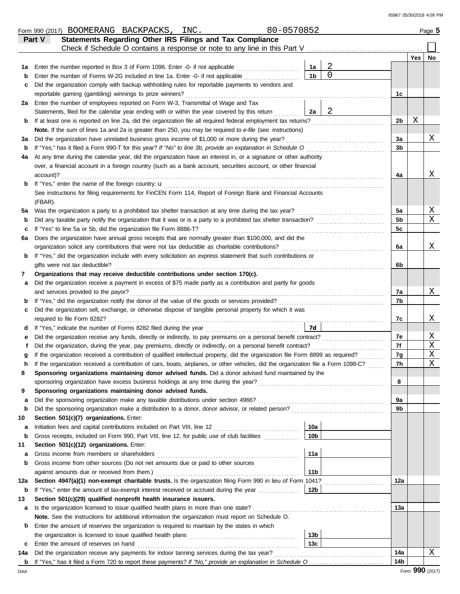|     | 80-0570852<br>Form 990 (2017) BOOMERANG BACKPACKS, INC.                                                                                                                                                    |                 |   |                |     | Page 5      |  |  |  |
|-----|------------------------------------------------------------------------------------------------------------------------------------------------------------------------------------------------------------|-----------------|---|----------------|-----|-------------|--|--|--|
|     | Statements Regarding Other IRS Filings and Tax Compliance<br>Part V                                                                                                                                        |                 |   |                |     |             |  |  |  |
|     | Check if Schedule O contains a response or note to any line in this Part V                                                                                                                                 |                 |   |                |     |             |  |  |  |
|     |                                                                                                                                                                                                            |                 |   |                | Yes | No          |  |  |  |
| 1а  | Enter the number reported in Box 3 of Form 1096. Enter -0- if not applicable                                                                                                                               | 1a              | 2 |                |     |             |  |  |  |
| b   | Enter the number of Forms W-2G included in line 1a. Enter -0- if not applicable                                                                                                                            | 1 <sub>b</sub>  | 0 |                |     |             |  |  |  |
| с   | Did the organization comply with backup withholding rules for reportable payments to vendors and                                                                                                           |                 |   |                |     |             |  |  |  |
|     | reportable gaming (gambling) winnings to prize winners?                                                                                                                                                    |                 |   | 1c             |     |             |  |  |  |
|     | 2a Enter the number of employees reported on Form W-3, Transmittal of Wage and Tax                                                                                                                         |                 |   |                |     |             |  |  |  |
|     | Statements, filed for the calendar year ending with or within the year covered by this return                                                                                                              | 2a              | 2 |                |     |             |  |  |  |
| b   | If at least one is reported on line 2a, did the organization file all required federal employment tax returns?                                                                                             |                 |   | 2b             | Χ   |             |  |  |  |
|     | Note. If the sum of lines 1a and 2a is greater than 250, you may be required to e-file (see instructions)                                                                                                  |                 |   |                |     |             |  |  |  |
| за  | Did the organization have unrelated business gross income of \$1,000 or more during the year?                                                                                                              |                 |   | 3a<br>3b       |     | Χ           |  |  |  |
|     | If "Yes," has it filed a Form 990-T for this year? If "No" to line 3b, provide an explanation in Schedule O<br>b                                                                                           |                 |   |                |     |             |  |  |  |
| 4a  | At any time during the calendar year, did the organization have an interest in, or a signature or other authority                                                                                          |                 |   |                |     |             |  |  |  |
|     | over, a financial account in a foreign country (such as a bank account, securities account, or other financial                                                                                             |                 |   | 4a             |     | Χ           |  |  |  |
|     | account)?                                                                                                                                                                                                  |                 |   |                |     |             |  |  |  |
| b   | If "Yes," enter the name of the foreign country: <b>u</b>                                                                                                                                                  |                 |   |                |     |             |  |  |  |
|     | See instructions for filing requirements for FinCEN Form 114, Report of Foreign Bank and Financial Accounts                                                                                                |                 |   |                |     |             |  |  |  |
|     | (FBAR).                                                                                                                                                                                                    |                 |   |                |     | Χ           |  |  |  |
| 5a  | Was the organization a party to a prohibited tax shelter transaction at any time during the tax year?                                                                                                      |                 |   | 5a             |     | Χ           |  |  |  |
| b   | Did any taxable party notify the organization that it was or is a party to a prohibited tax shelter transaction?                                                                                           |                 |   | 5b             |     |             |  |  |  |
| c   | If "Yes" to line 5a or 5b, did the organization file Form 8886-T?                                                                                                                                          |                 |   | 5c             |     |             |  |  |  |
| 6а  | Does the organization have annual gross receipts that are normally greater than \$100,000, and did the<br>organization solicit any contributions that were not tax deductible as charitable contributions? |                 |   | 6a             |     | Χ           |  |  |  |
| b   | If "Yes," did the organization include with every solicitation an express statement that such contributions or                                                                                             |                 |   |                |     |             |  |  |  |
|     | gifts were not tax deductible?                                                                                                                                                                             |                 |   | 6b             |     |             |  |  |  |
| 7   | Organizations that may receive deductible contributions under section 170(c).                                                                                                                              |                 |   |                |     |             |  |  |  |
| а   | Did the organization receive a payment in excess of \$75 made partly as a contribution and partly for goods                                                                                                |                 |   |                |     |             |  |  |  |
|     | and services provided to the payor?                                                                                                                                                                        |                 |   | 7a             |     | Χ           |  |  |  |
| b   |                                                                                                                                                                                                            |                 |   | 7b             |     |             |  |  |  |
| с   | Did the organization sell, exchange, or otherwise dispose of tangible personal property for which it was                                                                                                   |                 |   |                |     |             |  |  |  |
|     | required to file Form 8282?                                                                                                                                                                                |                 |   | 7c             |     | Χ           |  |  |  |
| d   |                                                                                                                                                                                                            | 7d              |   |                |     |             |  |  |  |
| е   |                                                                                                                                                                                                            |                 |   | 7e             |     | Χ           |  |  |  |
|     | Did the organization, during the year, pay premiums, directly or indirectly, on a personal benefit contract?                                                                                               |                 |   | 7f             |     | Χ           |  |  |  |
|     | If the organization received a contribution of qualified intellectual property, did the organization file Form 8899 as required?                                                                           |                 |   | 7g             |     | Χ           |  |  |  |
|     | If the organization received a contribution of cars, boats, airplanes, or other vehicles, did the organization file a Form 1098-C?                                                                         |                 |   | 7 <sub>h</sub> |     | $\mathbf X$ |  |  |  |
| 8   | Sponsoring organizations maintaining donor advised funds. Did a donor advised fund maintained by the                                                                                                       |                 |   |                |     |             |  |  |  |
|     |                                                                                                                                                                                                            |                 |   | 8              |     |             |  |  |  |
| 9   | Sponsoring organizations maintaining donor advised funds.                                                                                                                                                  |                 |   |                |     |             |  |  |  |
| а   |                                                                                                                                                                                                            |                 |   | 9a             |     |             |  |  |  |
| b   |                                                                                                                                                                                                            |                 |   | 9b             |     |             |  |  |  |
| 10  | Section 501(c)(7) organizations. Enter:                                                                                                                                                                    |                 |   |                |     |             |  |  |  |
| a   |                                                                                                                                                                                                            | 10a             |   |                |     |             |  |  |  |
| b   | Gross receipts, included on Form 990, Part VIII, line 12, for public use of club facilities                                                                                                                | 10 <sub>b</sub> |   |                |     |             |  |  |  |
| 11  | Section 501(c)(12) organizations. Enter:                                                                                                                                                                   |                 |   |                |     |             |  |  |  |
| a   | Gross income from members or shareholders                                                                                                                                                                  | 11a             |   |                |     |             |  |  |  |
| b   | Gross income from other sources (Do not net amounts due or paid to other sources                                                                                                                           |                 |   |                |     |             |  |  |  |
|     | against amounts due or received from them.)                                                                                                                                                                | 11 <sub>b</sub> |   |                |     |             |  |  |  |
| 12a | Section 4947(a)(1) non-exempt charitable trusts. Is the organization filing Form 990 in lieu of Form 1041?                                                                                                 |                 |   | 12a            |     |             |  |  |  |
| b   | If "Yes," enter the amount of tax-exempt interest received or accrued during the year <i>manufus</i>                                                                                                       | 12 <sub>b</sub> |   |                |     |             |  |  |  |
| 13  | Section 501(c)(29) qualified nonprofit health insurance issuers.                                                                                                                                           |                 |   |                |     |             |  |  |  |
| а   | Is the organization licensed to issue qualified health plans in more than one state?                                                                                                                       |                 |   | 13a            |     |             |  |  |  |
|     | Note. See the instructions for additional information the organization must report on Schedule O.                                                                                                          |                 |   |                |     |             |  |  |  |
| b   | Enter the amount of reserves the organization is required to maintain by the states in which                                                                                                               |                 |   |                |     |             |  |  |  |
|     |                                                                                                                                                                                                            | 13 <sub>b</sub> |   |                |     |             |  |  |  |
| c   | Enter the amount of reserves on hand                                                                                                                                                                       | 13c             |   |                |     |             |  |  |  |
| 14a | Did the organization receive any payments for indoor tanning services during the tax year?                                                                                                                 |                 |   | 14a            |     | Χ           |  |  |  |
|     |                                                                                                                                                                                                            |                 |   | 14b            |     |             |  |  |  |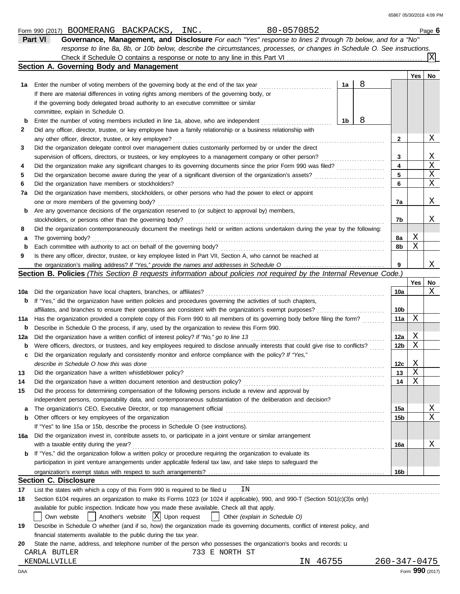|     | response to line 8a, 8b, or 10b below, describe the circumstances, processes, or changes in Schedule O. See instructions.                                                         |    |   |                    |                 |    |
|-----|-----------------------------------------------------------------------------------------------------------------------------------------------------------------------------------|----|---|--------------------|-----------------|----|
|     |                                                                                                                                                                                   |    |   |                    |                 |    |
|     | Section A. Governing Body and Management                                                                                                                                          |    |   |                    |                 |    |
|     |                                                                                                                                                                                   | 1a | 8 |                    | Yes             | No |
| 1а  | Enter the number of voting members of the governing body at the end of the tax year<br>If there are material differences in voting rights among members of the governing body, or |    |   |                    |                 |    |
|     |                                                                                                                                                                                   |    |   |                    |                 |    |
|     | if the governing body delegated broad authority to an executive committee or similar                                                                                              |    |   |                    |                 |    |
|     | committee, explain in Schedule O.                                                                                                                                                 |    |   |                    |                 |    |
| b   | Enter the number of voting members included in line 1a, above, who are independent                                                                                                | 1b | 8 |                    |                 |    |
| 2   | Did any officer, director, trustee, or key employee have a family relationship or a business relationship with                                                                    |    |   |                    |                 |    |
|     | any other officer, director, trustee, or key employee?                                                                                                                            |    |   | 2                  |                 | Χ  |
| 3   | Did the organization delegate control over management duties customarily performed by or under the direct                                                                         |    |   |                    |                 |    |
|     | supervision of officers, directors, or trustees, or key employees to a management company or other person?                                                                        |    |   | 3                  |                 | Χ  |
| 4   |                                                                                                                                                                                   |    |   | 4                  |                 | X  |
| 5   |                                                                                                                                                                                   |    |   | 5                  |                 | Χ  |
| 6   | Did the organization have members or stockholders?                                                                                                                                |    |   | 6                  |                 | X  |
| 7a  | Did the organization have members, stockholders, or other persons who had the power to elect or appoint                                                                           |    |   |                    |                 |    |
|     | one or more members of the governing body?                                                                                                                                        |    |   | 7a                 |                 | Χ  |
| b   | Are any governance decisions of the organization reserved to (or subject to approval by) members,                                                                                 |    |   |                    |                 |    |
|     | stockholders, or persons other than the governing body?                                                                                                                           |    |   | 7b                 |                 | Χ  |
| 8   | Did the organization contemporaneously document the meetings held or written actions undertaken during the year by the following:                                                 |    |   |                    |                 |    |
| а   | The governing body?                                                                                                                                                               |    |   | 8а                 | Χ               |    |
| b   | Each committee with authority to act on behalf of the governing body?                                                                                                             |    |   | 8b                 | Χ               |    |
| 9   | Is there any officer, director, trustee, or key employee listed in Part VII, Section A, who cannot be reached at                                                                  |    |   |                    |                 |    |
|     |                                                                                                                                                                                   |    |   | 9                  |                 | Χ  |
|     | <b>Section B. Policies</b> (This Section B requests information about policies not required by the Internal Revenue Code.)                                                        |    |   |                    |                 |    |
|     |                                                                                                                                                                                   |    |   |                    | Yes             | No |
| 10a | Did the organization have local chapters, branches, or affiliates?                                                                                                                |    |   | 10a                |                 | Χ  |
| b   | If "Yes," did the organization have written policies and procedures governing the activities of such chapters,                                                                    |    |   |                    |                 |    |
|     |                                                                                                                                                                                   |    |   | 10b                |                 |    |
| 11a | Has the organization provided a complete copy of this Form 990 to all members of its governing body before filing the form?                                                       |    |   | 11a                | Χ               |    |
| b   | Describe in Schedule O the process, if any, used by the organization to review this Form 990.                                                                                     |    |   |                    |                 |    |
| 12a |                                                                                                                                                                                   |    |   | 12a                | Χ               |    |
| b   | Were officers, directors, or trustees, and key employees required to disclose annually interests that could give rise to conflicts?                                               |    |   | 12 <sub>b</sub>    | Χ               |    |
| c   | Did the organization regularly and consistently monitor and enforce compliance with the policy? If "Yes,"                                                                         |    |   |                    |                 |    |
|     | describe in Schedule O how this was done                                                                                                                                          |    |   | 12c                | Χ               |    |
| 13  |                                                                                                                                                                                   |    |   | 13                 | Χ               |    |
| 14  | Did the organization have a written document retention and destruction policy?                                                                                                    |    |   | 14                 | X               |    |
| 15  | Did the process for determining compensation of the following persons include a review and approval by                                                                            |    |   |                    |                 |    |
|     | independent persons, comparability data, and contemporaneous substantiation of the deliberation and decision?                                                                     |    |   |                    |                 |    |
| а   |                                                                                                                                                                                   |    |   | 15a                |                 | Χ  |
| b   | Other officers or key employees of the organization                                                                                                                               |    |   | 15b                |                 | Χ  |
|     | If "Yes" to line 15a or 15b, describe the process in Schedule O (see instructions).                                                                                               |    |   |                    |                 |    |
| 16a | Did the organization invest in, contribute assets to, or participate in a joint venture or similar arrangement                                                                    |    |   |                    |                 |    |
| b   | with a taxable entity during the year?<br>If "Yes," did the organization follow a written policy or procedure requiring the organization to evaluate its                          |    |   | 16a                |                 | Χ  |
|     | participation in joint venture arrangements under applicable federal tax law, and take steps to safeguard the                                                                     |    |   |                    |                 |    |
|     |                                                                                                                                                                                   |    |   | 16b                |                 |    |
|     | <b>Section C. Disclosure</b>                                                                                                                                                      |    |   |                    |                 |    |
| 17  | List the states with which a copy of this Form 990 is required to be filed $\mathbf u$<br>ΙN                                                                                      |    |   |                    |                 |    |
| 18  | Section 6104 requires an organization to make its Forms 1023 (or 1024 if applicable), 990, and 990-T (Section 501(c)(3)s only)                                                    |    |   |                    |                 |    |
|     | available for public inspection. Indicate how you made these available. Check all that apply.                                                                                     |    |   |                    |                 |    |
|     | Another's website $ X $ Upon request<br>Other (explain in Schedule O)<br>Own website                                                                                              |    |   |                    |                 |    |
| 19  | Describe in Schedule O whether (and if so, how) the organization made its governing documents, conflict of interest policy, and                                                   |    |   |                    |                 |    |
|     | financial statements available to the public during the tax year.                                                                                                                 |    |   |                    |                 |    |
| 20  | State the name, address, and telephone number of the person who possesses the organization's books and records: <b>u</b>                                                          |    |   |                    |                 |    |
|     | 733 E NORTH ST<br>CARLA BUTLER                                                                                                                                                    |    |   |                    |                 |    |
|     | 46755<br>KENDALLVILLE<br>IN.                                                                                                                                                      |    |   | $260 - 347 - 0475$ |                 |    |
| DAA |                                                                                                                                                                                   |    |   |                    | Form 990 (2017) |    |
|     |                                                                                                                                                                                   |    |   |                    |                 |    |

Form 990 (2017) Page **6** BOOMERANG BACKPACKS, INC. 80-0570852 **Part VI Governance, Management, and Disclosure** *For each "Yes" response to lines 2 through 7b below, and for a "No"*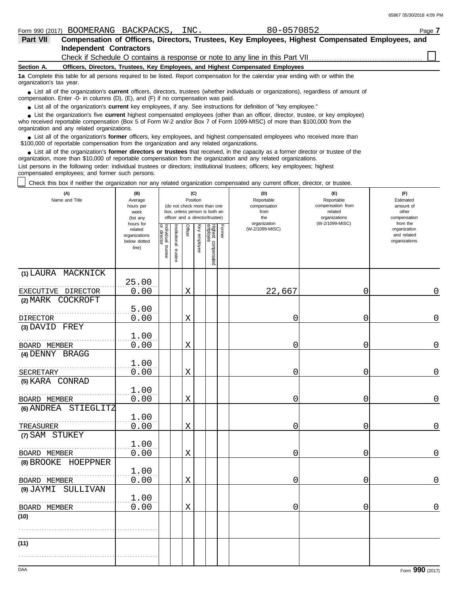|                          |                         | Form 990 (2017) BOOMERANG BACKPACKS, INC. | 80-0570852                                                                                                                        | Page 7                                                                                           |  |
|--------------------------|-------------------------|-------------------------------------------|-----------------------------------------------------------------------------------------------------------------------------------|--------------------------------------------------------------------------------------------------|--|
| Part VII                 |                         |                                           |                                                                                                                                   | Compensation of Officers, Directors, Trustees, Key Employees, Highest Compensated Employees, and |  |
|                          | Independent Contractors |                                           |                                                                                                                                   |                                                                                                  |  |
|                          |                         |                                           |                                                                                                                                   |                                                                                                  |  |
| Section A.               |                         |                                           | Officers, Directors, Trustees, Key Employees, and Highest Compensated Employees                                                   |                                                                                                  |  |
| organization's tax year. |                         |                                           | 1a Complete this table for all persons required to be listed. Report compensation for the calendar year ending with or within the |                                                                                                  |  |

■ List all of the organization's **current** officers, directors, trustees (whether individuals or organizations), regardless of amount of compensation. Enter -0- in columns (D), (E), and (F) if no compensation was paid.

● List all of the organization's **current** key employees, if any. See instructions for definition of "key employee."

who received reportable compensation (Box 5 of Form W-2 and/or Box 7 of Form 1099-MISC) of more than \$100,000 from the ■ List the organization's five **current** highest compensated employees (other than an officer, director, trustee, or key employee)<br> **•** Preceived reportable compensation (Box 5 of Form W 2 and/or Box 7 of Form 1000 MISC)

organization and any related organizations.

■ List all of the organization's **former** officers, key employees, and highest compensated employees who received more than<br> **•** 00,000 of reportable compensation from the erganization and any related erganizations \$100,000 of reportable compensation from the organization and any related organizations.

■ List all of the organization's **former directors or trustees** that received, in the capacity as a former director or trustee of the property is a former director or trustee of the property of the organization and any re organization, more than \$10,000 of reportable compensation from the organization and any related organizations. List persons in the following order: individual trustees or directors; institutional trustees; officers; key employees; highest

compensated employees; and former such persons.

Check this box if neither the organization nor any related organization compensated any current officer, director, or trustee.

| (A)<br>Name and Title   | (B)<br>Average<br>hours per<br>week<br>(list any               | (C)<br>Position<br>(do not check more than one<br>box, unless person is both an<br>officer and a director/trustee) |                       |             |              |                                 | (D)<br>Reportable<br>compensation<br>from<br>the<br>organization | (E)<br>Reportable<br>compensation from<br>related<br>organizations<br>(W-2/1099-MISC) | (F)<br>Estimated<br>amount of<br>other<br>compensation |                                                          |
|-------------------------|----------------------------------------------------------------|--------------------------------------------------------------------------------------------------------------------|-----------------------|-------------|--------------|---------------------------------|------------------------------------------------------------------|---------------------------------------------------------------------------------------|--------------------------------------------------------|----------------------------------------------------------|
|                         | hours for<br>related<br>organizations<br>below dotted<br>line) | Individual trustee<br>or director                                                                                  | Institutional trustee | Officer     | Key employee | Highest compensated<br>employee | Former                                                           | (W-2/1099-MISC)                                                                       |                                                        | from the<br>organization<br>and related<br>organizations |
| (1) LAURA MACKNICK      |                                                                |                                                                                                                    |                       |             |              |                                 |                                                                  |                                                                                       |                                                        |                                                          |
| EXECUTIVE DIRECTOR      | 25.00<br>0.00                                                  |                                                                                                                    |                       | X           |              |                                 |                                                                  | 22,667                                                                                | $\mathbf 0$                                            | 0                                                        |
| (2) MARK COCKROFT       |                                                                |                                                                                                                    |                       |             |              |                                 |                                                                  |                                                                                       |                                                        |                                                          |
| <b>DIRECTOR</b>         | 5.00<br>0.00                                                   |                                                                                                                    |                       | X           |              |                                 |                                                                  | 0                                                                                     | $\mathbf 0$                                            | 0                                                        |
| (3) DAVID FREY          |                                                                |                                                                                                                    |                       |             |              |                                 |                                                                  |                                                                                       |                                                        |                                                          |
| BOARD MEMBER            | 1.00<br>0.00                                                   |                                                                                                                    |                       | X           |              |                                 |                                                                  | 0                                                                                     | 0                                                      | 0                                                        |
| (4) DENNY BRAGG         |                                                                |                                                                                                                    |                       |             |              |                                 |                                                                  |                                                                                       |                                                        |                                                          |
| <b>SECRETARY</b>        | 1.00<br>0.00                                                   |                                                                                                                    |                       | Χ           |              |                                 |                                                                  | 0                                                                                     | 0                                                      | $\overline{0}$                                           |
| (5) KARA CONRAD         |                                                                |                                                                                                                    |                       |             |              |                                 |                                                                  |                                                                                       |                                                        |                                                          |
| BOARD MEMBER            | 1.00<br>0.00                                                   |                                                                                                                    |                       | X           |              |                                 |                                                                  | 0                                                                                     | 0                                                      | 0                                                        |
| STIEGLITZ<br>(6) ANDREA | 1.00                                                           |                                                                                                                    |                       |             |              |                                 |                                                                  |                                                                                       |                                                        |                                                          |
| TREASURER               | 0.00                                                           |                                                                                                                    |                       | $\mathbf X$ |              |                                 |                                                                  | 0                                                                                     | 0                                                      | 0                                                        |
| (7) SAM STUKEY          |                                                                |                                                                                                                    |                       |             |              |                                 |                                                                  |                                                                                       |                                                        |                                                          |
| BOARD MEMBER            | 1.00<br>0.00                                                   |                                                                                                                    |                       | X           |              |                                 |                                                                  | 0                                                                                     | 0                                                      | 0                                                        |
| (8) BROOKE HOEPPNER     |                                                                |                                                                                                                    |                       |             |              |                                 |                                                                  |                                                                                       |                                                        |                                                          |
| BOARD MEMBER            | 1.00<br>0.00                                                   |                                                                                                                    |                       | X           |              |                                 |                                                                  | 0                                                                                     | $\mathbf 0$                                            | $\mathbf 0$                                              |
| (9) JAYMI SULLIVAN      |                                                                |                                                                                                                    |                       |             |              |                                 |                                                                  |                                                                                       |                                                        |                                                          |
|                         | 1.00                                                           |                                                                                                                    |                       |             |              |                                 |                                                                  |                                                                                       |                                                        |                                                          |
| BOARD MEMBER<br>(10)    | 0.00                                                           |                                                                                                                    |                       | X           |              |                                 |                                                                  | 0                                                                                     | 0                                                      | $\overline{0}$                                           |
|                         |                                                                |                                                                                                                    |                       |             |              |                                 |                                                                  |                                                                                       |                                                        |                                                          |
| (11)                    |                                                                |                                                                                                                    |                       |             |              |                                 |                                                                  |                                                                                       |                                                        |                                                          |
|                         |                                                                |                                                                                                                    |                       |             |              |                                 |                                                                  |                                                                                       |                                                        |                                                          |
|                         |                                                                |                                                                                                                    |                       |             |              |                                 |                                                                  |                                                                                       |                                                        |                                                          |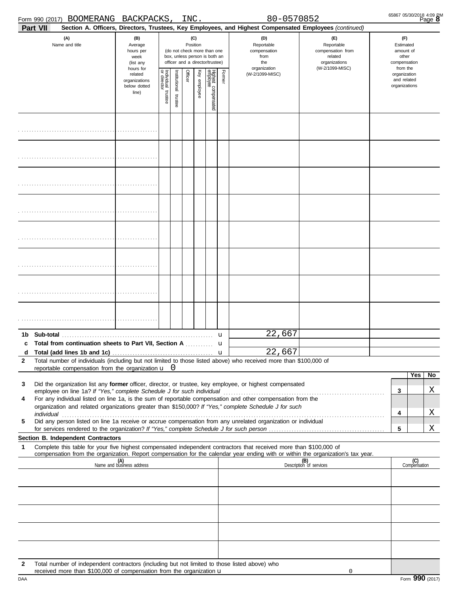| Form 990 (2017) BOOMERANG<br>BACKPACKS, | ΙN |  |
|-----------------------------------------|----|--|
|-----------------------------------------|----|--|

|              | Form 990 (2017) BOOMERANG                                                                     | BACKPACKS                                         |                       |                      | INC.    |                 |                                                                                                 |        | 80-0570852                                                                                                                                                                                                                                             |                                                                    |                                              |                                                                    | B <sub>age</sub> 8  |
|--------------|-----------------------------------------------------------------------------------------------|---------------------------------------------------|-----------------------|----------------------|---------|-----------------|-------------------------------------------------------------------------------------------------|--------|--------------------------------------------------------------------------------------------------------------------------------------------------------------------------------------------------------------------------------------------------------|--------------------------------------------------------------------|----------------------------------------------|--------------------------------------------------------------------|---------------------|
| Part VII     |                                                                                               |                                                   |                       |                      |         |                 |                                                                                                 |        | Section A. Officers, Directors, Trustees, Key Employees, and Highest Compensated Employees (continued)                                                                                                                                                 |                                                                    |                                              |                                                                    |                     |
|              | (A)<br>(B)<br>Name and title<br>Average<br>hours per<br>week<br>(list any<br>hours for        |                                                   |                       |                      |         | (C)<br>Position | (do not check more than one<br>box, unless person is both an<br>officer and a director/trustee) |        | (D)<br>Reportable<br>compensation<br>from<br>the<br>organization                                                                                                                                                                                       | (E)<br>Reportable<br>compensation from<br>related<br>organizations |                                              | (F)<br>Estimated<br>amount of<br>other<br>compensation<br>from the |                     |
|              |                                                                                               | related<br>organizations<br>below dotted<br>line) | Individual<br>trustee | nstitutional trustee | Officer | Key employee    | Highest compensated<br>employee                                                                 | Former | (W-2/1099-MISC)                                                                                                                                                                                                                                        | (W-2/1099-MISC)                                                    | organization<br>and related<br>organizations |                                                                    |                     |
|              |                                                                                               |                                                   |                       |                      |         |                 |                                                                                                 |        |                                                                                                                                                                                                                                                        |                                                                    |                                              |                                                                    |                     |
|              |                                                                                               |                                                   |                       |                      |         |                 |                                                                                                 |        |                                                                                                                                                                                                                                                        |                                                                    |                                              |                                                                    |                     |
|              |                                                                                               |                                                   |                       |                      |         |                 |                                                                                                 |        |                                                                                                                                                                                                                                                        |                                                                    |                                              |                                                                    |                     |
|              |                                                                                               |                                                   |                       |                      |         |                 |                                                                                                 |        |                                                                                                                                                                                                                                                        |                                                                    |                                              |                                                                    |                     |
|              |                                                                                               |                                                   |                       |                      |         |                 |                                                                                                 |        |                                                                                                                                                                                                                                                        |                                                                    |                                              |                                                                    |                     |
|              |                                                                                               |                                                   |                       |                      |         |                 |                                                                                                 |        |                                                                                                                                                                                                                                                        |                                                                    |                                              |                                                                    |                     |
|              |                                                                                               |                                                   |                       |                      |         |                 |                                                                                                 |        |                                                                                                                                                                                                                                                        |                                                                    |                                              |                                                                    |                     |
|              |                                                                                               |                                                   |                       |                      |         |                 |                                                                                                 |        |                                                                                                                                                                                                                                                        |                                                                    |                                              |                                                                    |                     |
| c            |                                                                                               |                                                   |                       |                      |         |                 |                                                                                                 |        | 22,667<br>22,667                                                                                                                                                                                                                                       |                                                                    |                                              |                                                                    |                     |
| $\mathbf{2}$ | reportable compensation from the organization $\mathbf{u}$ 0                                  |                                                   |                       |                      |         |                 |                                                                                                 |        | Total number of individuals (including but not limited to those listed above) who received more than \$100,000 of                                                                                                                                      |                                                                    |                                              |                                                                    |                     |
| 3            |                                                                                               |                                                   |                       |                      |         |                 |                                                                                                 |        | Did the organization list any former officer, director, or trustee, key employee, or highest compensated                                                                                                                                               |                                                                    |                                              |                                                                    | Yes<br>No<br>Χ      |
| 4            |                                                                                               |                                                   |                       |                      |         |                 |                                                                                                 |        | For any individual listed on line 1a, is the sum of reportable compensation and other compensation from the<br>organization and related organizations greater than \$150,000? If "Yes," complete Schedule J for such                                   |                                                                    |                                              | $\mathbf{3}$                                                       | Χ                   |
| 5            |                                                                                               |                                                   |                       |                      |         |                 |                                                                                                 |        | Did any person listed on line 1a receive or accrue compensation from any unrelated organization or individual                                                                                                                                          |                                                                    |                                              | 4<br>5                                                             | Χ                   |
|              | Section B. Independent Contractors                                                            |                                                   |                       |                      |         |                 |                                                                                                 |        |                                                                                                                                                                                                                                                        |                                                                    |                                              |                                                                    |                     |
| 1            |                                                                                               |                                                   |                       |                      |         |                 |                                                                                                 |        | Complete this table for your five highest compensated independent contractors that received more than \$100,000 of<br>compensation from the organization. Report compensation for the calendar year ending with or within the organization's tax year. |                                                                    |                                              |                                                                    |                     |
|              |                                                                                               | (A)<br>Name and business address                  |                       |                      |         |                 |                                                                                                 |        |                                                                                                                                                                                                                                                        | (B)<br>Description of services                                     |                                              |                                                                    | (C)<br>Compensation |
|              |                                                                                               |                                                   |                       |                      |         |                 |                                                                                                 |        |                                                                                                                                                                                                                                                        |                                                                    |                                              |                                                                    |                     |
|              |                                                                                               |                                                   |                       |                      |         |                 |                                                                                                 |        |                                                                                                                                                                                                                                                        |                                                                    |                                              |                                                                    |                     |
|              |                                                                                               |                                                   |                       |                      |         |                 |                                                                                                 |        |                                                                                                                                                                                                                                                        |                                                                    |                                              |                                                                    |                     |
|              |                                                                                               |                                                   |                       |                      |         |                 |                                                                                                 |        |                                                                                                                                                                                                                                                        |                                                                    |                                              |                                                                    |                     |
| 2            | Total number of independent contractors (including but not limited to those listed above) who |                                                   |                       |                      |         |                 |                                                                                                 |        |                                                                                                                                                                                                                                                        |                                                                    |                                              |                                                                    |                     |
|              | received more than \$100,000 of compensation from the organization $\mathbf u$                |                                                   |                       |                      |         |                 |                                                                                                 |        |                                                                                                                                                                                                                                                        | 0                                                                  |                                              |                                                                    |                     |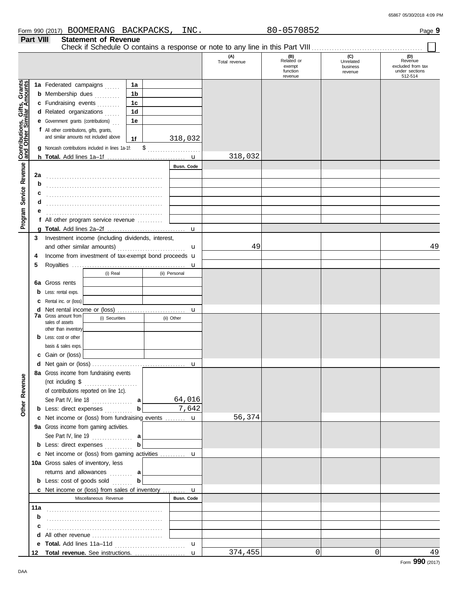|                                                     | Part VIII | <b>Statement of Revenue</b>                                 |                |                   |                      |                                                    |                                         |                                                                  |
|-----------------------------------------------------|-----------|-------------------------------------------------------------|----------------|-------------------|----------------------|----------------------------------------------------|-----------------------------------------|------------------------------------------------------------------|
|                                                     |           |                                                             |                |                   | (A)<br>Total revenue | (B)<br>Related or<br>exempt<br>function<br>revenue | (C)<br>Unrelated<br>business<br>revenue | (D)<br>Revenue<br>excluded from tax<br>under sections<br>512-514 |
|                                                     |           | 1a Federated campaigns                                      | 1a             |                   |                      |                                                    |                                         |                                                                  |
| Service Revenue <b>Contributions, Gifts, Grants</b> |           | <b>b</b> Membership dues                                    | 1 <sub>b</sub> |                   |                      |                                                    |                                         |                                                                  |
|                                                     |           | c Fundraising events                                        | 1c             |                   |                      |                                                    |                                         |                                                                  |
|                                                     |           | d Related organizations                                     | 1 <sub>d</sub> |                   |                      |                                                    |                                         |                                                                  |
|                                                     |           | <b>e</b> Government grants (contributions)                  | 1e             |                   |                      |                                                    |                                         |                                                                  |
|                                                     |           | f All other contributions, gifts, grants,                   |                |                   |                      |                                                    |                                         |                                                                  |
|                                                     |           | and similar amounts not included above                      | 1f             | 318,032           |                      |                                                    |                                         |                                                                  |
|                                                     |           | g Noncash contributions included in lines 1a-1f:            |                | $\frac{1}{2}$     |                      |                                                    |                                         |                                                                  |
|                                                     |           |                                                             |                |                   | 318,032              |                                                    |                                         |                                                                  |
|                                                     |           |                                                             |                | Busn. Code        |                      |                                                    |                                         |                                                                  |
|                                                     | 2a        |                                                             |                |                   |                      |                                                    |                                         |                                                                  |
|                                                     | b         |                                                             |                |                   |                      |                                                    |                                         |                                                                  |
|                                                     | c         |                                                             |                |                   |                      |                                                    |                                         |                                                                  |
|                                                     | d         |                                                             |                |                   |                      |                                                    |                                         |                                                                  |
|                                                     | е         |                                                             |                |                   |                      |                                                    |                                         |                                                                  |
|                                                     |           | f All other program service revenue $\ldots$                |                |                   |                      |                                                    |                                         |                                                                  |
| Program                                             |           |                                                             |                | $\mathbf u$       |                      |                                                    |                                         |                                                                  |
|                                                     | 3         | Investment income (including dividends, interest,           |                |                   |                      |                                                    |                                         |                                                                  |
|                                                     |           | and other similar amounts)                                  |                | u                 | 49                   |                                                    |                                         | 49                                                               |
|                                                     | 4         | Income from investment of tax-exempt bond proceeds <b>u</b> |                |                   |                      |                                                    |                                         |                                                                  |
|                                                     | 5         |                                                             |                | u                 |                      |                                                    |                                         |                                                                  |
|                                                     |           | (i) Real                                                    |                | (ii) Personal     |                      |                                                    |                                         |                                                                  |
|                                                     |           | <b>6a</b> Gross rents                                       |                |                   |                      |                                                    |                                         |                                                                  |
|                                                     | b         | Less: rental exps.                                          |                |                   |                      |                                                    |                                         |                                                                  |
|                                                     | c         | Rental inc. or (loss)                                       |                |                   |                      |                                                    |                                         |                                                                  |
|                                                     |           |                                                             |                | u                 |                      |                                                    |                                         |                                                                  |
|                                                     |           | <b>7a</b> Gross amount from<br>(i) Securities               |                | (ii) Other        |                      |                                                    |                                         |                                                                  |
|                                                     |           | sales of assets<br>other than inventory                     |                |                   |                      |                                                    |                                         |                                                                  |
|                                                     |           | <b>b</b> Less: cost or other                                |                |                   |                      |                                                    |                                         |                                                                  |
|                                                     |           | basis & sales exps.                                         |                |                   |                      |                                                    |                                         |                                                                  |
|                                                     |           | c Gain or (loss)                                            |                |                   |                      |                                                    |                                         |                                                                  |
|                                                     |           |                                                             |                | u                 |                      |                                                    |                                         |                                                                  |
|                                                     |           | 8a Gross income from fundraising events                     |                |                   |                      |                                                    |                                         |                                                                  |
| Other Revenue                                       |           | (not including $\$\dots$                                    |                |                   |                      |                                                    |                                         |                                                                  |
|                                                     |           | of contributions reported on line 1c).                      |                |                   |                      |                                                    |                                         |                                                                  |
|                                                     |           |                                                             |                | 64,016            |                      |                                                    |                                         |                                                                  |
|                                                     |           | <b>b</b> Less: direct expenses                              | $\mathbf b$    | 7,642             |                      |                                                    |                                         |                                                                  |
|                                                     |           | c Net income or (loss) from fundraising events  u           |                |                   | 56,374               |                                                    |                                         |                                                                  |
|                                                     |           | 9a Gross income from gaming activities.                     |                |                   |                      |                                                    |                                         |                                                                  |
|                                                     |           | See Part IV, line 19                                        | а              |                   |                      |                                                    |                                         |                                                                  |
|                                                     |           | <b>b</b> Less: direct expenses                              | b              |                   |                      |                                                    |                                         |                                                                  |
|                                                     |           | c Net income or (loss) from gaming activities  u            |                |                   |                      |                                                    |                                         |                                                                  |
|                                                     |           | 10a Gross sales of inventory, less                          |                |                   |                      |                                                    |                                         |                                                                  |
|                                                     |           | returns and allowances  a                                   |                |                   |                      |                                                    |                                         |                                                                  |
|                                                     |           | <b>b</b> Less: cost of goods sold                           | $\mathbf b$    |                   |                      |                                                    |                                         |                                                                  |
|                                                     |           | c Net income or (loss) from sales of inventory  u           |                |                   |                      |                                                    |                                         |                                                                  |
|                                                     |           | Miscellaneous Revenue                                       |                | <b>Busn. Code</b> |                      |                                                    |                                         |                                                                  |
|                                                     | 11a       |                                                             |                |                   |                      |                                                    |                                         |                                                                  |
|                                                     | b         |                                                             |                |                   |                      |                                                    |                                         |                                                                  |
|                                                     | с         |                                                             |                |                   |                      |                                                    |                                         |                                                                  |
|                                                     |           |                                                             |                |                   |                      |                                                    |                                         |                                                                  |
|                                                     |           |                                                             |                | $\mathbf{u}$      |                      |                                                    |                                         |                                                                  |
|                                                     |           |                                                             |                |                   | 374,455              | $\Omega$                                           | 0                                       | 49                                                               |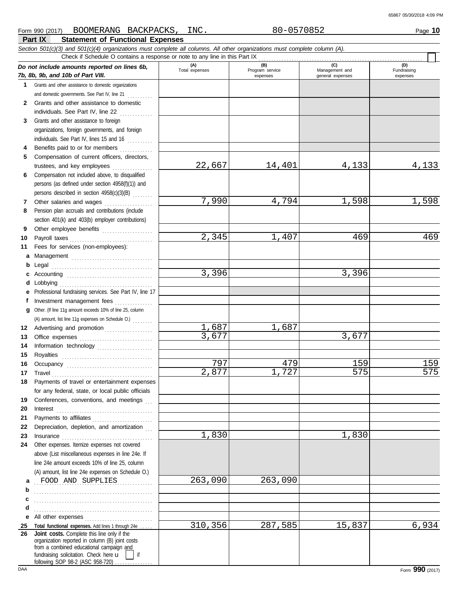#### **Part IX Statement of Functional Expenses** Form 990 (2017) Page **10** BOOMERANG BACKPACKS, INC. 80-0570852 *Section 501(c)(3) and 501(c)(4) organizations must complete all columns. All other organizations must complete column (A). Do not include amounts reported on lines 6b, 7b, 8b, 9b, and 10b of Part VIII.* **1** Grants and other assistance to domestic organizations and domestic governments. See Part IV, line 21 .......... **(A) (B) (C) (D)** Total expenses Program service Management and expenses and in the qeneral expenses Fundraising expenses Check if Schedule O contains a response or note to any line in this Part IX

|   | 2 Grants and other assistance to domestic |
|---|-------------------------------------------|
|   | individuals. See Part IV. line 22<br>.    |
| 3 | Grants and other assistance to foreign    |

- organizations, foreign governments, and foreign individuals. See Part IV, lines 15 and 16 ..........
- **4 5** Benefits paid to or for members ............. Compensation of current officers, directors, trustees, and key employees ................
- **6** Compensation not included above, to disqualified persons (as defined under section 4958(f)(1)) and persons described in section 4958(c)(3)(B) . . . . . . . .
- **7 8** Other salaries and wages ................... Pension plan accruals and contributions (include section 401(k) and 403(b) employer contributions)
- **9 10** Other employee benefits ....................
- **11** Fees for services (non-employees):
- 
- 
- 
- 
- **a** Management .................................
- **b** Legal . . . . . . . . . . . . . . . . . . . . . . . . . . . . . . . . . . . . . . . . **c** Accounting . . . . . . . . . . . . . . . . . . . . . . . . . . . . . . . . . .
- **d** Lobbying . . . . . . . . . . . . . . . . . . . . . . . . . . . . . . . . . . . . . **e** Professional fundraising services. See Part IV, line 17 **f**
- Investment management fees ...............
- **g** Other. (If line 11g amount exceeds 10% of line 25, column
	-
	- Advertising and promotion ................... (A) amount, list line 11g expenses on Schedule O.) . . . . . . . .
	-
- **12**

**e** All other expenses . . . . . . . . . . . . . . . . . . . . . . . . . . .

. . . . . . . . . . . . . . . . . . . . . . . . . . . . . . . . . . . . . . . . . . . . . . . . . . . . . . . . . . . . . . . . . . . . . . . . . . . . . . . . . . . . . . . . . . . . . . . . . . . . . . . . . . . . . . . . . . . . . . . . . . . . . . . . . . . . . . . . . . . . .

Total functional expenses. Add lines 1 through 24e .

fundraising solicitation. Check here  $\mathbf u$ organization reported in column (B) joint costs from a combined educational campaign and

**Joint costs.** Complete this line only if the

following SOP 98-2 (ASC 958-720)

> **b c d**

**25 26**

Office expenses . . . . . . . . . . . . . . . . . . . . . . . . . . . . . Information technology ......................

Royalties . . . . . . . . . . . . . . . . . . . . . . . . . . . . . . . . . . . . Occupancy . . . . . . . . . . . . . . . . . . . . . . . . . . . . . . . . . . Travel . . . . . . . . . . . . . . . . . . . . . . . . . . . . . . . . . . . . . . . . Payments of travel or entertainment expenses for any federal, state, or local public officials Conferences, conventions, and meetings Interest . . . . . . . . . . . . . . . . . . . . . . . . . . . . . . . . . . . . . . Payments to affiliates . . . . . . . . . . . . . . . . . . . . . . . . Depreciation, depletion, and amortization Insurance . . . . . . . . . . . . . . . . . . . . . . . . . . . . . . . . . . . . Other expenses. Itemize expenses not covered above (List miscellaneous expenses in line 24e. If line 24e amount exceeds 10% of line 25, column (A) amount, list line 24e expenses on Schedule O.)

- 
- -
	-
- 
- 
- Payroll taxes . . . . . . . . . . . . . . . . . . . . . . . . . . . . . . . . .
- -
- -
- 
- 
- 
- 
- 

**a** FOOD AND SUPPLIES 263,090 263,090

- 
- 
- 
- 
- 
- 
- 
- 
- 
- 
- 
- 
- 
- 
- 
- 
- 
- 
- 
- 
- 
- 
- 
- 
- 22,667 14,401 4,133 4,133
	- -

DAA Form **990** (2017)

1,687 1,687

- 
- <mark>7,990</mark> 4,794 1,598 1,598

3,396 3,396

3,677 3,677

1,830 1,830

- -
	-
	-

<mark>797</mark> 159 159 159 159 2,877 1,727 575 575

310,356 287,585 15,837 6,934

2,345 1,407 469 469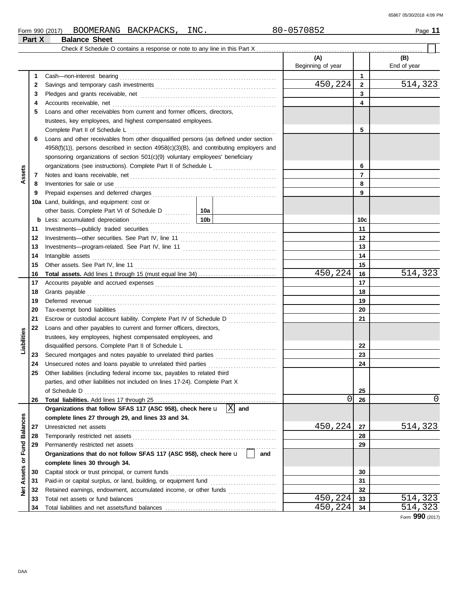| Form 990 (2017) | <b>BOOMERANG</b>               | <b>BACKPACKS</b> | INC. | $    -$<br>ΩC<br>70852<br>$\overline{\phantom{0}}$<br>J U | Page |
|-----------------|--------------------------------|------------------|------|-----------------------------------------------------------|------|
| Part X          | <b>Balance</b><br><b>Sheet</b> |                  |      |                                                           |      |

|                 |    | Check if Schedule O contains a response or note to any line in this Part X                   |                          |                |                    |
|-----------------|----|----------------------------------------------------------------------------------------------|--------------------------|----------------|--------------------|
|                 |    |                                                                                              | (A)<br>Beginning of year |                | (B)<br>End of year |
|                 | 1  | Cash-non-interest bearing                                                                    |                          | $\mathbf{1}$   |                    |
|                 | 2  |                                                                                              | 450,224                  | $\overline{2}$ | 514,323            |
|                 | 3  |                                                                                              |                          | 3              |                    |
|                 | 4  | Accounts receivable, net                                                                     |                          | 4              |                    |
|                 | 5  | Loans and other receivables from current and former officers, directors,                     |                          |                |                    |
|                 |    | trustees, key employees, and highest compensated employees.                                  |                          |                |                    |
|                 |    | Complete Part II of Schedule L                                                               |                          | 5              |                    |
|                 | 6  | Loans and other receivables from other disqualified persons (as defined under section        |                          |                |                    |
|                 |    | $4958(f)(1)$ , persons described in section $4958(c)(3)(B)$ , and contributing employers and |                          |                |                    |
|                 |    | sponsoring organizations of section 501(c)(9) voluntary employees' beneficiary               |                          |                |                    |
|                 |    | organizations (see instructions). Complete Part II of Schedule L                             |                          | 6              |                    |
| Assets          | 7  |                                                                                              |                          | $\overline{7}$ |                    |
|                 | 8  | Inventories for sale or use                                                                  |                          | 8              |                    |
|                 | 9  |                                                                                              |                          | 9              |                    |
|                 |    | 10a Land, buildings, and equipment: cost or                                                  |                          |                |                    |
|                 |    |                                                                                              |                          |                |                    |
|                 | b  | 10 <sub>b</sub><br>Less: accumulated depreciation                                            |                          | 10c            |                    |
|                 | 11 | Investments-publicly traded securities                                                       |                          | 11             |                    |
|                 | 12 |                                                                                              |                          | $12 \,$        |                    |
|                 | 13 |                                                                                              |                          | 13             |                    |
|                 | 14 | Intangible assets                                                                            |                          | 14             |                    |
|                 | 15 |                                                                                              |                          | 15             |                    |
|                 | 16 |                                                                                              | 450,224                  | 16             | 514,323            |
|                 | 17 |                                                                                              |                          | 17             |                    |
|                 | 18 | Grants payable                                                                               |                          | 18             |                    |
|                 | 19 | Deferred revenue                                                                             |                          | 19             |                    |
|                 | 20 |                                                                                              |                          | 20             |                    |
|                 | 21 | Escrow or custodial account liability. Complete Part IV of Schedule D                        |                          | 21             |                    |
|                 | 22 | Loans and other payables to current and former officers, directors,                          |                          |                |                    |
| Liabilities     |    | trustees, key employees, highest compensated employees, and                                  |                          |                |                    |
|                 |    | disqualified persons. Complete Part II of Schedule L                                         |                          | 22             |                    |
|                 | 23 |                                                                                              |                          | 23             |                    |
|                 | 24 | Unsecured notes and loans payable to unrelated third parties                                 |                          | 24             |                    |
|                 | 25 | Other liabilities (including federal income tax, payables to related third                   |                          |                |                    |
|                 |    | parties, and other liabilities not included on lines 17-24). Complete Part X                 |                          |                |                    |
|                 |    | of Schedule D                                                                                |                          | 25             |                    |
|                 | 26 |                                                                                              | 0                        | 26             | 0                  |
|                 |    | $\overline{\mathbf{X}}$<br>Organizations that follow SFAS 117 (ASC 958), check here u<br>and |                          |                |                    |
| <b>Balances</b> |    | complete lines 27 through 29, and lines 33 and 34.                                           |                          |                |                    |
|                 | 27 | Unrestricted net assets                                                                      | 450,224                  | 27             | 514,323            |
|                 | 28 | Temporarily restricted net assets                                                            |                          | 28             |                    |
|                 | 29 | Permanently restricted net assets                                                            |                          | 29             |                    |
|                 |    | Organizations that do not follow SFAS 117 (ASC 958), check here u<br>and                     |                          |                |                    |
| Assets or Fund  |    | complete lines 30 through 34.                                                                |                          |                |                    |
|                 | 30 | Capital stock or trust principal, or current funds                                           |                          | 30             |                    |
|                 | 31 | Paid-in or capital surplus, or land, building, or equipment fund                             |                          | 31             |                    |
| <b>Net</b>      | 32 | Retained earnings, endowment, accumulated income, or other funds                             |                          | 32             |                    |
|                 | 33 | Total net assets or fund balances                                                            | 450,224                  | 33             | 514,323            |
|                 | 34 |                                                                                              | 450,224                  | 34             | 514,323            |

Form **990** (2017)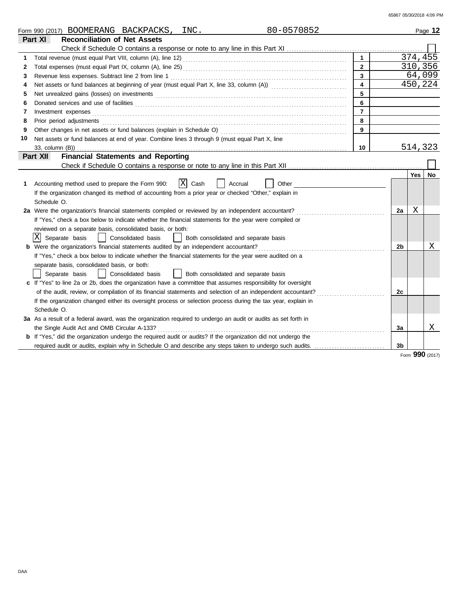|    | 80-0570852<br>Form 990 (2017) BOOMERANG BACKPACKS,<br>INC.                                                            |                         |                |         | Page 12 |
|----|-----------------------------------------------------------------------------------------------------------------------|-------------------------|----------------|---------|---------|
|    | <b>Reconciliation of Net Assets</b><br>Part XI                                                                        |                         |                |         |         |
|    |                                                                                                                       |                         |                |         |         |
| 1  |                                                                                                                       | $\mathbf{1}$            |                | 374,455 |         |
| 2  |                                                                                                                       | $\overline{2}$          |                |         | 310,356 |
| 3  |                                                                                                                       | 3                       |                |         | 64,099  |
| 4  |                                                                                                                       | $\overline{\mathbf{4}}$ |                |         | 450,224 |
| 5  |                                                                                                                       | 5                       |                |         |         |
| 6  |                                                                                                                       | 6                       |                |         |         |
| 7  | Investment expenses                                                                                                   | $\overline{7}$          |                |         |         |
| 8  | Prior period adjustments                                                                                              | 8                       |                |         |         |
| 9  |                                                                                                                       | 9                       |                |         |         |
| 10 | Net assets or fund balances at end of year. Combine lines 3 through 9 (must equal Part X, line                        |                         |                |         |         |
|    | 33, column (B))                                                                                                       | 10                      |                | 514,323 |         |
|    | <b>Financial Statements and Reporting</b><br>Part XII                                                                 |                         |                |         |         |
|    |                                                                                                                       |                         |                |         |         |
|    |                                                                                                                       |                         |                | Yes     | No      |
| 1  | $X$ Cash<br>Accounting method used to prepare the Form 990:<br>Other<br>Accrual                                       |                         |                |         |         |
|    | If the organization changed its method of accounting from a prior year or checked "Other," explain in                 |                         |                |         |         |
|    | Schedule O.                                                                                                           |                         |                |         |         |
|    | 2a Were the organization's financial statements compiled or reviewed by an independent accountant?                    |                         | 2a             | X       |         |
|    | If "Yes," check a box below to indicate whether the financial statements for the year were compiled or                |                         |                |         |         |
|    | reviewed on a separate basis, consolidated basis, or both:                                                            |                         |                |         |         |
|    | IXI<br>Separate basis<br>  Consolidated basis<br>Both consolidated and separate basis                                 |                         |                |         |         |
|    | <b>b</b> Were the organization's financial statements audited by an independent accountant?                           |                         | 2 <sub>b</sub> |         | Χ       |
|    | If "Yes," check a box below to indicate whether the financial statements for the year were audited on a               |                         |                |         |         |
|    | separate basis, consolidated basis, or both:                                                                          |                         |                |         |         |
|    | Separate basis<br>Consolidated basis<br>Both consolidated and separate basis                                          |                         |                |         |         |
|    | c If "Yes" to line 2a or 2b, does the organization have a committee that assumes responsibility for oversight         |                         |                |         |         |
|    | of the audit, review, or compilation of its financial statements and selection of an independent accountant?          |                         | 2c             |         |         |
|    | If the organization changed either its oversight process or selection process during the tax year, explain in         |                         |                |         |         |
|    | Schedule O.                                                                                                           |                         |                |         |         |
|    | 3a As a result of a federal award, was the organization required to undergo an audit or audits as set forth in        |                         |                |         |         |
|    | the Single Audit Act and OMB Circular A-133?                                                                          |                         | 3a             |         | Χ       |
|    | <b>b</b> If "Yes," did the organization undergo the required audit or audits? If the organization did not undergo the |                         |                |         |         |
|    | required audit or audits, explain why in Schedule O and describe any steps taken to undergo such audits.              |                         | 3b             |         |         |
|    |                                                                                                                       |                         |                | $\sim$  |         |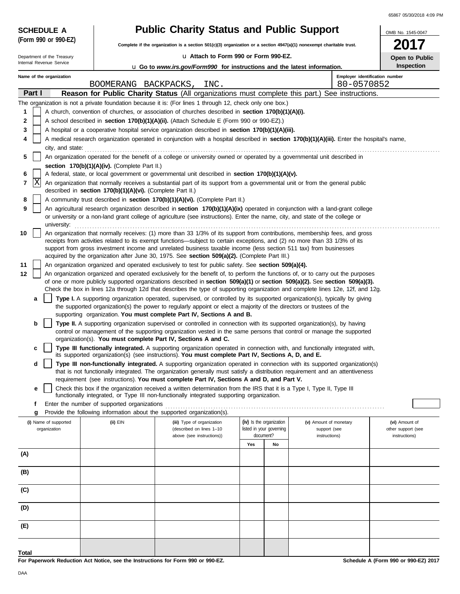65867 05/30/2018 4:09 PM

| <b>SCHEDULE A</b>          |                                                            | <b>Public Charity Status and Public Support</b>                                                                                                                                                                                                                        |                                       |                                              | OMB No. 1545-0047                   |  |  |  |  |  |  |
|----------------------------|------------------------------------------------------------|------------------------------------------------------------------------------------------------------------------------------------------------------------------------------------------------------------------------------------------------------------------------|---------------------------------------|----------------------------------------------|-------------------------------------|--|--|--|--|--|--|
| (Form 990 or 990-EZ)       |                                                            | Complete if the organization is a section $501(c)(3)$ organization or a section $4947(a)(1)$ nonexempt charitable trust.                                                                                                                                               |                                       |                                              |                                     |  |  |  |  |  |  |
| Department of the Treasury |                                                            | u Attach to Form 990 or Form 990-EZ.                                                                                                                                                                                                                                   |                                       |                                              | Open to Public                      |  |  |  |  |  |  |
| Internal Revenue Service   |                                                            | <b>u</b> Go to www.irs.gov/Form990 for instructions and the latest information.                                                                                                                                                                                        |                                       |                                              | Inspection                          |  |  |  |  |  |  |
| Name of the organization   |                                                            | BOOMERANG BACKPACKS, INC.                                                                                                                                                                                                                                              |                                       | Employer identification number<br>80-0570852 |                                     |  |  |  |  |  |  |
| Part I                     |                                                            | Reason for Public Charity Status (All organizations must complete this part.) See instructions.                                                                                                                                                                        |                                       |                                              |                                     |  |  |  |  |  |  |
|                            |                                                            | The organization is not a private foundation because it is: (For lines 1 through 12, check only one box.)                                                                                                                                                              |                                       |                                              |                                     |  |  |  |  |  |  |
| 1                          |                                                            | A church, convention of churches, or association of churches described in section 170(b)(1)(A)(i).                                                                                                                                                                     |                                       |                                              |                                     |  |  |  |  |  |  |
| $\mathbf{2}$               |                                                            | A school described in section 170(b)(1)(A)(ii). (Attach Schedule E (Form 990 or 990-EZ).)                                                                                                                                                                              |                                       |                                              |                                     |  |  |  |  |  |  |
| 3                          |                                                            | A hospital or a cooperative hospital service organization described in section 170(b)(1)(A)(iii).                                                                                                                                                                      |                                       |                                              |                                     |  |  |  |  |  |  |
| 4                          |                                                            | A medical research organization operated in conjunction with a hospital described in section 170(b)(1)(A)(iii). Enter the hospital's name,                                                                                                                             |                                       |                                              |                                     |  |  |  |  |  |  |
|                            | city, and state:                                           |                                                                                                                                                                                                                                                                        |                                       |                                              |                                     |  |  |  |  |  |  |
| 5                          |                                                            | An organization operated for the benefit of a college or university owned or operated by a governmental unit described in                                                                                                                                              |                                       |                                              |                                     |  |  |  |  |  |  |
|                            | section 170(b)(1)(A)(iv). (Complete Part II.)              |                                                                                                                                                                                                                                                                        |                                       |                                              |                                     |  |  |  |  |  |  |
| 6<br> X<br>7               |                                                            | A federal, state, or local government or governmental unit described in section 170(b)(1)(A)(v).<br>An organization that normally receives a substantial part of its support from a governmental unit or from the general public                                       |                                       |                                              |                                     |  |  |  |  |  |  |
|                            | described in section 170(b)(1)(A)(vi). (Complete Part II.) |                                                                                                                                                                                                                                                                        |                                       |                                              |                                     |  |  |  |  |  |  |
| 8                          |                                                            | A community trust described in section 170(b)(1)(A)(vi). (Complete Part II.)                                                                                                                                                                                           |                                       |                                              |                                     |  |  |  |  |  |  |
| 9                          |                                                            | An agricultural research organization described in section 170(b)(1)(A)(ix) operated in conjunction with a land-grant college<br>or university or a non-land grant college of agriculture (see instructions). Enter the name, city, and state of the college or        |                                       |                                              |                                     |  |  |  |  |  |  |
| university:                |                                                            |                                                                                                                                                                                                                                                                        |                                       |                                              |                                     |  |  |  |  |  |  |
| 10                         |                                                            | An organization that normally receives: (1) more than 33 1/3% of its support from contributions, membership fees, and gross                                                                                                                                            |                                       |                                              |                                     |  |  |  |  |  |  |
|                            |                                                            | receipts from activities related to its exempt functions—subject to certain exceptions, and (2) no more than 33 1/3% of its<br>support from gross investment income and unrelated business taxable income (less section 511 tax) from businesses                       |                                       |                                              |                                     |  |  |  |  |  |  |
|                            |                                                            | acquired by the organization after June 30, 1975. See section 509(a)(2). (Complete Part III.)                                                                                                                                                                          |                                       |                                              |                                     |  |  |  |  |  |  |
| 11                         |                                                            | An organization organized and operated exclusively to test for public safety. See section 509(a)(4).                                                                                                                                                                   |                                       |                                              |                                     |  |  |  |  |  |  |
| 12                         |                                                            | An organization organized and operated exclusively for the benefit of, to perform the functions of, or to carry out the purposes                                                                                                                                       |                                       |                                              |                                     |  |  |  |  |  |  |
|                            |                                                            | of one or more publicly supported organizations described in section $509(a)(1)$ or section $509(a)(2)$ . See section $509(a)(3)$ .<br>Check the box in lines 12a through 12d that describes the type of supporting organization and complete lines 12e, 12f, and 12g. |                                       |                                              |                                     |  |  |  |  |  |  |
| a                          |                                                            | Type I. A supporting organization operated, supervised, or controlled by its supported organization(s), typically by giving                                                                                                                                            |                                       |                                              |                                     |  |  |  |  |  |  |
|                            |                                                            | the supported organization(s) the power to regularly appoint or elect a majority of the directors or trustees of the                                                                                                                                                   |                                       |                                              |                                     |  |  |  |  |  |  |
|                            |                                                            | supporting organization. You must complete Part IV, Sections A and B.                                                                                                                                                                                                  |                                       |                                              |                                     |  |  |  |  |  |  |
| b                          |                                                            | Type II. A supporting organization supervised or controlled in connection with its supported organization(s), by having                                                                                                                                                |                                       |                                              |                                     |  |  |  |  |  |  |
|                            |                                                            | control or management of the supporting organization vested in the same persons that control or manage the supported<br>organization(s). You must complete Part IV, Sections A and C.                                                                                  |                                       |                                              |                                     |  |  |  |  |  |  |
| c                          |                                                            | Type III functionally integrated. A supporting organization operated in connection with, and functionally integrated with,                                                                                                                                             |                                       |                                              |                                     |  |  |  |  |  |  |
|                            |                                                            | its supported organization(s) (see instructions). You must complete Part IV, Sections A, D, and E.                                                                                                                                                                     |                                       |                                              |                                     |  |  |  |  |  |  |
| d                          |                                                            | Type III non-functionally integrated. A supporting organization operated in connection with its supported organization(s)                                                                                                                                              |                                       |                                              |                                     |  |  |  |  |  |  |
|                            |                                                            | that is not functionally integrated. The organization generally must satisfy a distribution requirement and an attentiveness                                                                                                                                           |                                       |                                              |                                     |  |  |  |  |  |  |
|                            |                                                            | requirement (see instructions). You must complete Part IV, Sections A and D, and Part V.<br>Check this box if the organization received a written determination from the IRS that it is a Type I, Type II, Type III                                                    |                                       |                                              |                                     |  |  |  |  |  |  |
| е                          |                                                            | functionally integrated, or Type III non-functionally integrated supporting organization.                                                                                                                                                                              |                                       |                                              |                                     |  |  |  |  |  |  |
| f                          | Enter the number of supported organizations                |                                                                                                                                                                                                                                                                        |                                       |                                              |                                     |  |  |  |  |  |  |
| g                          |                                                            | Provide the following information about the supported organization(s).                                                                                                                                                                                                 |                                       |                                              |                                     |  |  |  |  |  |  |
| (i) Name of supported      | (ii) EIN                                                   | (iii) Type of organization                                                                                                                                                                                                                                             | (iv) Is the organization              | (v) Amount of monetary                       | (vi) Amount of                      |  |  |  |  |  |  |
| organization               |                                                            | (described on lines 1-10<br>above (see instructions))                                                                                                                                                                                                                  | listed in your governing<br>document? | support (see<br>instructions)                | other support (see<br>instructions) |  |  |  |  |  |  |
|                            |                                                            |                                                                                                                                                                                                                                                                        | Yes<br>No                             |                                              |                                     |  |  |  |  |  |  |
| (A)                        |                                                            |                                                                                                                                                                                                                                                                        |                                       |                                              |                                     |  |  |  |  |  |  |
|                            |                                                            |                                                                                                                                                                                                                                                                        |                                       |                                              |                                     |  |  |  |  |  |  |
| (B)                        |                                                            |                                                                                                                                                                                                                                                                        |                                       |                                              |                                     |  |  |  |  |  |  |
| (C)                        |                                                            |                                                                                                                                                                                                                                                                        |                                       |                                              |                                     |  |  |  |  |  |  |
|                            |                                                            |                                                                                                                                                                                                                                                                        |                                       |                                              |                                     |  |  |  |  |  |  |
| (D)                        |                                                            |                                                                                                                                                                                                                                                                        |                                       |                                              |                                     |  |  |  |  |  |  |
| (E)                        |                                                            |                                                                                                                                                                                                                                                                        |                                       |                                              |                                     |  |  |  |  |  |  |
|                            |                                                            |                                                                                                                                                                                                                                                                        |                                       |                                              |                                     |  |  |  |  |  |  |
| Total                      |                                                            |                                                                                                                                                                                                                                                                        |                                       |                                              |                                     |  |  |  |  |  |  |

**For Paperwork Reduction Act Notice, see the Instructions for Form 990 or 990-EZ.**

**Schedule A (Form 990 or 990-EZ) 2017**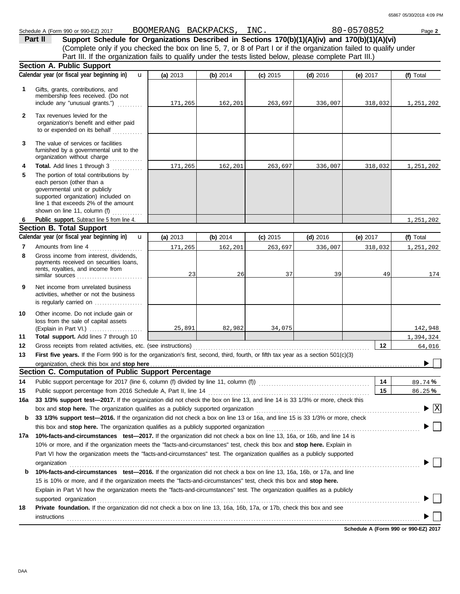## Schedule A (Form 990 or 990-EZ) 2017 Page **2** BOOMERANG BACKPACKS, INC. 80-0570852

(Complete only if you checked the box on line 5, 7, or 8 of Part I or if the organization failed to qualify under **Part II Support Schedule for Organizations Described in Sections 170(b)(1)(A)(iv) and 170(b)(1)(A)(vi)** Part III. If the organization fails to qualify under the tests listed below, please complete Part III.)

|              | Section A. Public Support                                                                                                                                                                                                      |          |          |            |            |            |                                          |  |  |  |
|--------------|--------------------------------------------------------------------------------------------------------------------------------------------------------------------------------------------------------------------------------|----------|----------|------------|------------|------------|------------------------------------------|--|--|--|
|              | Calendar year (or fiscal year beginning in)<br>$\mathbf{u}$                                                                                                                                                                    | (a) 2013 | (b) 2014 | $(c)$ 2015 | $(d)$ 2016 | (e) $2017$ | (f) Total                                |  |  |  |
| 1            | Gifts, grants, contributions, and<br>membership fees received. (Do not<br>include any "unusual grants.")                                                                                                                       | 171,265  | 162,201  | 263,697    | 336,007    | 318,032    | 1,251,202                                |  |  |  |
| $\mathbf{2}$ | Tax revenues levied for the<br>organization's benefit and either paid<br>to or expended on its behalf                                                                                                                          |          |          |            |            |            |                                          |  |  |  |
| 3            | The value of services or facilities<br>furnished by a governmental unit to the<br>organization without charge                                                                                                                  |          |          |            |            |            |                                          |  |  |  |
| 4            | Total. Add lines 1 through 3                                                                                                                                                                                                   | 171,265  | 162,201  | 263,697    | 336,007    | 318,032    | 1,251,202                                |  |  |  |
| 5            | The portion of total contributions by<br>each person (other than a<br>governmental unit or publicly<br>supported organization) included on<br>line 1 that exceeds 2% of the amount<br>shown on line 11, column (f)             |          |          |            |            |            |                                          |  |  |  |
| 6            | Public support. Subtract line 5 from line 4.                                                                                                                                                                                   |          |          |            |            |            | 1,251,202                                |  |  |  |
|              | <b>Section B. Total Support</b>                                                                                                                                                                                                |          |          |            |            |            |                                          |  |  |  |
|              | Calendar year (or fiscal year beginning in)<br>$\mathbf{u}$                                                                                                                                                                    | (a) 2013 | (b) 2014 | $(c)$ 2015 | $(d)$ 2016 | (e) $2017$ | (f) Total                                |  |  |  |
| 7            | Amounts from line 4                                                                                                                                                                                                            | 171,265  | 162,201  | 263,697    | 336,007    | 318,032    | 1,251,202                                |  |  |  |
| 8            | Gross income from interest. dividends.<br>payments received on securities loans,<br>rents, royalties, and income from<br>similar sources                                                                                       | 23       | 26       | 37         | 39         | 49         | 174                                      |  |  |  |
| 9            | Net income from unrelated business<br>activities, whether or not the business<br>is regularly carried on                                                                                                                       |          |          |            |            |            |                                          |  |  |  |
| 10           | Other income. Do not include gain or<br>loss from the sale of capital assets<br>(Explain in Part VI.)                                                                                                                          | 25,891   | 82,982   | 34,075     |            |            | 142,948                                  |  |  |  |
| 11           | Total support. Add lines 7 through 10                                                                                                                                                                                          |          |          |            |            |            | 1,394,324                                |  |  |  |
| 12           |                                                                                                                                                                                                                                |          |          |            |            | 12         | 64,016                                   |  |  |  |
| 13           | First five years. If the Form 990 is for the organization's first, second, third, fourth, or fifth tax year as a section 501(c)(3)                                                                                             |          |          |            |            |            |                                          |  |  |  |
|              |                                                                                                                                                                                                                                |          |          |            |            |            |                                          |  |  |  |
|              | Section C. Computation of Public Support Percentage                                                                                                                                                                            |          |          |            |            |            |                                          |  |  |  |
| 14           |                                                                                                                                                                                                                                |          |          |            |            | 14         | 89.74%                                   |  |  |  |
| 15           |                                                                                                                                                                                                                                |          |          |            |            | 15         | 86.25%                                   |  |  |  |
| 16а          | 33 1/3% support test-2017. If the organization did not check the box on line 13, and line 14 is 33 1/3% or more, check this                                                                                                    |          |          |            |            |            |                                          |  |  |  |
|              | box and stop here. The organization qualifies as a publicly supported organization                                                                                                                                             |          |          |            |            |            | $\blacktriangleright$ $\boxed{\text{X}}$ |  |  |  |
| b            | 33 1/3% support test-2016. If the organization did not check a box on line 13 or 16a, and line 15 is 33 1/3% or more, check                                                                                                    |          |          |            |            |            |                                          |  |  |  |
|              |                                                                                                                                                                                                                                |          |          |            |            |            |                                          |  |  |  |
| 17a          | 10%-facts-and-circumstances test-2017. If the organization did not check a box on line 13, 16a, or 16b, and line 14 is                                                                                                         |          |          |            |            |            |                                          |  |  |  |
|              | 10% or more, and if the organization meets the "facts-and-circumstances" test, check this box and stop here. Explain in                                                                                                        |          |          |            |            |            |                                          |  |  |  |
|              | Part VI how the organization meets the "facts-and-circumstances" test. The organization qualifies as a publicly supported                                                                                                      |          |          |            |            |            |                                          |  |  |  |
|              | organization www.commutation.commutation.com/www.commutation.com/www.commutation.com/www.commutation.com/www.com                                                                                                               |          |          |            |            |            |                                          |  |  |  |
| b            | 10%-facts-and-circumstances test-2016. If the organization did not check a box on line 13, 16a, 16b, or 17a, and line                                                                                                          |          |          |            |            |            |                                          |  |  |  |
|              | 15 is 10% or more, and if the organization meets the "facts-and-circumstances" test, check this box and stop here.                                                                                                             |          |          |            |            |            |                                          |  |  |  |
|              | Explain in Part VI how the organization meets the "facts-and-circumstances" test. The organization qualifies as a publicly                                                                                                     |          |          |            |            |            |                                          |  |  |  |
|              | supported organization contains and contains a supported organization of the supported organization contains and contains a supported organization contains a supported organization contains a supported or support of the su |          |          |            |            |            |                                          |  |  |  |
| 18           | Private foundation. If the organization did not check a box on line 13, 16a, 16b, 17a, or 17b, check this box and see                                                                                                          |          |          |            |            |            |                                          |  |  |  |
|              | <b>instructions</b>                                                                                                                                                                                                            |          |          |            |            |            |                                          |  |  |  |
|              |                                                                                                                                                                                                                                |          |          |            |            |            |                                          |  |  |  |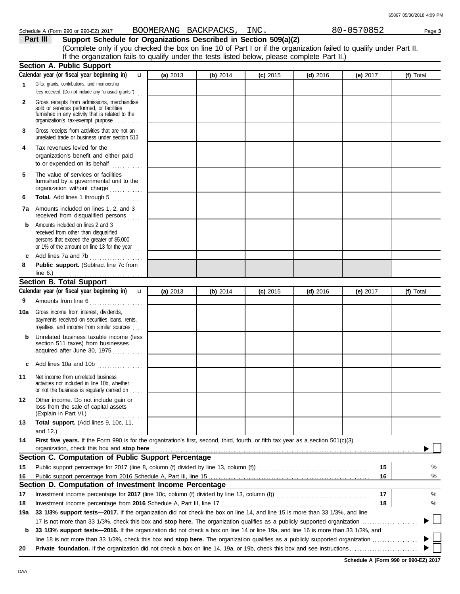|--|

**Part III Support Schedule for Organizations Described in Section 509(a)(2)** (Complete only if you checked the box on line 10 of Part I or if the organization failed to qualify under Part II. If the organization fails to qualify under the tests listed below, please complete Part II.)

|              | <b>Section A. Public Support</b>                                                                                                                                                      |            |          |            |            |            |    |           |
|--------------|---------------------------------------------------------------------------------------------------------------------------------------------------------------------------------------|------------|----------|------------|------------|------------|----|-----------|
|              | Calendar year (or fiscal year beginning in)<br>u                                                                                                                                      | (a) 2013   | (b) 2014 | $(c)$ 2015 | $(d)$ 2016 | (e) $2017$ |    | (f) Total |
| $\mathbf{1}$ | Gifts, grants, contributions, and membership<br>fees received. (Do not include any "unusual grants.")                                                                                 |            |          |            |            |            |    |           |
| $\mathbf{2}$ | Gross receipts from admissions, merchandise<br>sold or services performed, or facilities<br>furnished in any activity that is related to the<br>organization's tax-exempt purpose     |            |          |            |            |            |    |           |
| 3            | Gross receipts from activities that are not an<br>unrelated trade or business under section 513                                                                                       |            |          |            |            |            |    |           |
| 4            | Tax revenues levied for the<br>organization's benefit and either paid<br>to or expended on its behalf                                                                                 |            |          |            |            |            |    |           |
| 5            | The value of services or facilities<br>furnished by a governmental unit to the<br>organization without charge                                                                         |            |          |            |            |            |    |           |
| 6            | Total. Add lines 1 through 5<br>.                                                                                                                                                     |            |          |            |            |            |    |           |
| 7а           | Amounts included on lines 1, 2, and 3<br>received from disqualified persons                                                                                                           |            |          |            |            |            |    |           |
| b            | Amounts included on lines 2 and 3<br>received from other than disqualified<br>persons that exceed the greater of \$5,000<br>or 1% of the amount on line 13 for the year $\frac{1}{1}$ |            |          |            |            |            |    |           |
| C            | Add lines 7a and 7b                                                                                                                                                                   |            |          |            |            |            |    |           |
| 8            | Public support. (Subtract line 7c from                                                                                                                                                |            |          |            |            |            |    |           |
|              | <b>Section B. Total Support</b>                                                                                                                                                       |            |          |            |            |            |    |           |
|              | Calendar year (or fiscal year beginning in)                                                                                                                                           |            | (b) 2014 |            |            |            |    | (f) Total |
|              | $\mathbf{u}$                                                                                                                                                                          | (a) $2013$ |          | $(c)$ 2015 | $(d)$ 2016 | (e) $2017$ |    |           |
| 9            | Amounts from line 6                                                                                                                                                                   |            |          |            |            |            |    |           |
| 10a          | Gross income from interest, dividends,<br>payments received on securities loans, rents,<br>royalties, and income from similar sources                                                 |            |          |            |            |            |    |           |
| b            | Unrelated business taxable income (less<br>section 511 taxes) from businesses<br>acquired after June 30, 1975                                                                         |            |          |            |            |            |    |           |
| c            | Add lines 10a and 10b                                                                                                                                                                 |            |          |            |            |            |    |           |
| 11           | Net income from unrelated business<br>activities not included in line 10b, whether<br>or not the business is regularly carried on                                                     |            |          |            |            |            |    |           |
| 12           | Other income. Do not include gain or<br>loss from the sale of capital assets<br>(Explain in Part VI.)                                                                                 |            |          |            |            |            |    |           |
| 13           | Total support. (Add lines 9, 10c, 11,                                                                                                                                                 |            |          |            |            |            |    |           |
| 14           | and 12.) $\ldots$<br>First five years. If the Form 990 is for the organization's first, second, third, fourth, or fifth tax year as a section 501(c)(3)                               |            |          |            |            |            |    |           |
|              | organization, check this box and stop here                                                                                                                                            |            |          |            |            |            |    |           |
|              | Section C. Computation of Public Support Percentage                                                                                                                                   |            |          |            |            |            |    |           |
| 15           | Public support percentage for 2017 (line 8, column (f) divided by line 13, column (f)) [[[[[[[[[[[[[[[[[[[[[[                                                                         |            |          |            |            |            | 15 | %         |
| 16           |                                                                                                                                                                                       |            |          |            |            |            | 16 | %         |
|              | Section D. Computation of Investment Income Percentage                                                                                                                                |            |          |            |            |            |    |           |
| 17           |                                                                                                                                                                                       |            |          |            |            |            | 17 | %         |
| 18           | Investment income percentage from 2016 Schedule A, Part III, line 17                                                                                                                  |            |          |            |            |            | 18 | %         |
| 19a          | 33 1/3% support tests-2017. If the organization did not check the box on line 14, and line 15 is more than 33 1/3%, and line                                                          |            |          |            |            |            |    |           |
|              |                                                                                                                                                                                       |            |          |            |            |            |    |           |
| b            | 33 1/3% support tests—2016. If the organization did not check a box on line 14 or line 19a, and line 16 is more than 33 1/3%, and                                                     |            |          |            |            |            |    |           |
|              |                                                                                                                                                                                       |            |          |            |            |            |    |           |
| 20           |                                                                                                                                                                                       |            |          |            |            |            |    |           |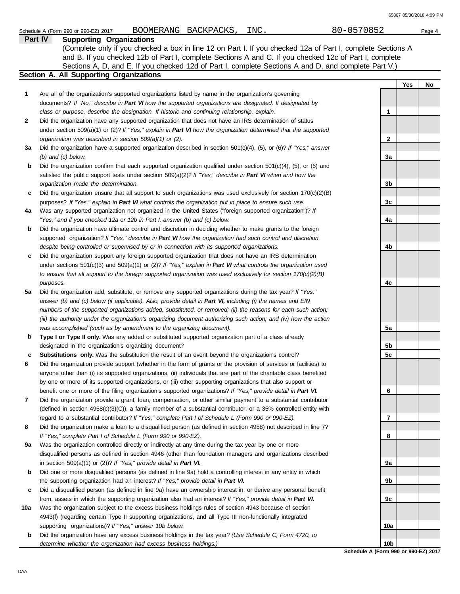| 65867 05/30/2018 4:09 PM |
|--------------------------|
|--------------------------|

|     | BOOMERANG BACKPACKS, INC.<br>Schedule A (Form 990 or 990-EZ) 2017                                                         | 80-0570852      | Page 4    |
|-----|---------------------------------------------------------------------------------------------------------------------------|-----------------|-----------|
|     | <b>Supporting Organizations</b><br>Part IV                                                                                |                 |           |
|     | (Complete only if you checked a box in line 12 on Part I. If you checked 12a of Part I, complete Sections A               |                 |           |
|     | and B. If you checked 12b of Part I, complete Sections A and C. If you checked 12c of Part I, complete                    |                 |           |
|     | Sections A, D, and E. If you checked 12d of Part I, complete Sections A and D, and complete Part V.)                      |                 |           |
|     | <b>Section A. All Supporting Organizations</b>                                                                            |                 |           |
|     |                                                                                                                           |                 | Yes<br>No |
| 1   | Are all of the organization's supported organizations listed by name in the organization's governing                      |                 |           |
|     | documents? If "No," describe in Part VI how the supported organizations are designated. If designated by                  |                 |           |
|     | class or purpose, describe the designation. If historic and continuing relationship, explain.                             | 1               |           |
| 2   | Did the organization have any supported organization that does not have an IRS determination of status                    |                 |           |
|     | under section 509(a)(1) or (2)? If "Yes," explain in Part VI how the organization determined that the supported           |                 |           |
|     | organization was described in section 509(a)(1) or (2).                                                                   | $\mathbf{2}$    |           |
| За  | Did the organization have a supported organization described in section $501(c)(4)$ , $(5)$ , or $(6)$ ? If "Yes," answer |                 |           |
|     | $(b)$ and $(c)$ below.                                                                                                    | 3a              |           |
| b   | Did the organization confirm that each supported organization qualified under section $501(c)(4)$ , $(5)$ , or $(6)$ and  |                 |           |
|     | satisfied the public support tests under section 509(a)(2)? If "Yes," describe in Part VI when and how the                |                 |           |
|     | organization made the determination.                                                                                      | 3b              |           |
| c   | Did the organization ensure that all support to such organizations was used exclusively for section $170(c)(2)(B)$        |                 |           |
|     | purposes? If "Yes," explain in Part VI what controls the organization put in place to ensure such use.                    | 3c              |           |
| 4a  | Was any supported organization not organized in the United States ("foreign supported organization")? If                  |                 |           |
|     | "Yes," and if you checked 12a or 12b in Part I, answer (b) and (c) below.                                                 | 4a              |           |
| b   | Did the organization have ultimate control and discretion in deciding whether to make grants to the foreign               |                 |           |
|     | supported organization? If "Yes," describe in Part VI how the organization had such control and discretion                |                 |           |
|     | despite being controlled or supervised by or in connection with its supported organizations.                              | 4b              |           |
| c   | Did the organization support any foreign supported organization that does not have an IRS determination                   |                 |           |
|     | under sections $501(c)(3)$ and $509(a)(1)$ or (2)? If "Yes," explain in Part VI what controls the organization used       |                 |           |
|     | to ensure that all support to the foreign supported organization was used exclusively for section $170(c)(2)(B)$          |                 |           |
|     | purposes.                                                                                                                 | 4c              |           |
| 5а  | Did the organization add, substitute, or remove any supported organizations during the tax year? If "Yes,"                |                 |           |
|     | answer (b) and (c) below (if applicable). Also, provide detail in Part VI, including (i) the names and EIN                |                 |           |
|     | numbers of the supported organizations added, substituted, or removed; (ii) the reasons for each such action;             |                 |           |
|     | (iii) the authority under the organization's organizing document authorizing such action; and (iv) how the action         |                 |           |
|     | was accomplished (such as by amendment to the organizing document).                                                       | 5a              |           |
| b   | Type I or Type II only. Was any added or substituted supported organization part of a class already                       |                 |           |
|     | designated in the organization's organizing document?                                                                     | 5b              |           |
| с   | Substitutions only. Was the substitution the result of an event beyond the organization's control?                        | 5c              |           |
| 6   | Did the organization provide support (whether in the form of grants or the provision of services or facilities) to        |                 |           |
|     | anyone other than (i) its supported organizations, (ii) individuals that are part of the charitable class benefited       |                 |           |
|     | by one or more of its supported organizations, or (iii) other supporting organizations that also support or               |                 |           |
|     | benefit one or more of the filing organization's supported organizations? If "Yes," provide detail in Part VI.            | 6               |           |
| 7   | Did the organization provide a grant, loan, compensation, or other similar payment to a substantial contributor           |                 |           |
|     | (defined in section $4958(c)(3)(C)$ ), a family member of a substantial contributor, or a 35% controlled entity with      |                 |           |
|     | regard to a substantial contributor? If "Yes," complete Part I of Schedule L (Form 990 or 990-EZ).                        | 7               |           |
| 8   | Did the organization make a loan to a disqualified person (as defined in section 4958) not described in line 7?           |                 |           |
|     | If "Yes," complete Part I of Schedule L (Form 990 or 990-EZ).                                                             | 8               |           |
| 9а  | Was the organization controlled directly or indirectly at any time during the tax year by one or more                     |                 |           |
|     | disqualified persons as defined in section 4946 (other than foundation managers and organizations described               |                 |           |
|     | in section $509(a)(1)$ or (2))? If "Yes," provide detail in Part VI.                                                      | 9a              |           |
| b   | Did one or more disqualified persons (as defined in line 9a) hold a controlling interest in any entity in which           |                 |           |
|     | the supporting organization had an interest? If "Yes," provide detail in Part VI.                                         | 9b              |           |
| c   | Did a disqualified person (as defined in line 9a) have an ownership interest in, or derive any personal benefit           |                 |           |
|     | from, assets in which the supporting organization also had an interest? If "Yes," provide detail in Part VI.              | 9с              |           |
| 10a | Was the organization subject to the excess business holdings rules of section 4943 because of section                     |                 |           |
|     | 4943(f) (regarding certain Type II supporting organizations, and all Type III non-functionally integrated                 |                 |           |
|     | supporting organizations)? If "Yes," answer 10b below.                                                                    | 10a             |           |
| b   | Did the organization have any excess business holdings in the tax year? (Use Schedule C, Form 4720, to                    |                 |           |
|     | determine whether the organization had excess business holdings.)                                                         | 10 <sub>b</sub> |           |

**Schedule A (Form 990 or 990-EZ) 2017**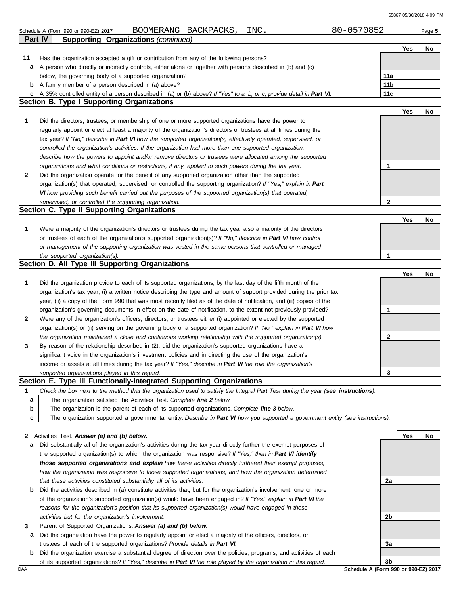65867 05/30/2018 4:09 PM

|    | 80-0570852<br>BOOMERANG BACKPACKS,<br>INC.<br>Schedule A (Form 990 or 990-EZ) 2017                                                |                 |     | Page 5 |
|----|-----------------------------------------------------------------------------------------------------------------------------------|-----------------|-----|--------|
|    | <b>Supporting Organizations (continued)</b><br><b>Part IV</b>                                                                     |                 |     |        |
|    |                                                                                                                                   |                 | Yes | No     |
| 11 | Has the organization accepted a gift or contribution from any of the following persons?                                           |                 |     |        |
| a  | A person who directly or indirectly controls, either alone or together with persons described in (b) and (c)                      |                 |     |        |
|    | below, the governing body of a supported organization?                                                                            | 11a             |     |        |
| b  | A family member of a person described in (a) above?                                                                               | 11 <sub>b</sub> |     |        |
| c  | A 35% controlled entity of a person described in (a) or (b) above? If "Yes" to a, b, or c, provide detail in Part VI.             | 11c             |     |        |
|    | <b>Section B. Type I Supporting Organizations</b>                                                                                 |                 |     |        |
|    |                                                                                                                                   |                 | Yes | No     |
| 1  | Did the directors, trustees, or membership of one or more supported organizations have the power to                               |                 |     |        |
|    | regularly appoint or elect at least a majority of the organization's directors or trustees at all times during the                |                 |     |        |
|    | tax year? If "No," describe in Part VI how the supported organization(s) effectively operated, supervised, or                     |                 |     |        |
|    | controlled the organization's activities. If the organization had more than one supported organization,                           |                 |     |        |
|    | describe how the powers to appoint and/or remove directors or trustees were allocated among the supported                         |                 |     |        |
|    | organizations and what conditions or restrictions, if any, applied to such powers during the tax year.                            | 1               |     |        |
| 2  | Did the organization operate for the benefit of any supported organization other than the supported                               |                 |     |        |
|    | organization(s) that operated, supervised, or controlled the supporting organization? If "Yes," explain in Part                   |                 |     |        |
|    | VI how providing such benefit carried out the purposes of the supported organization(s) that operated,                            |                 |     |        |
|    | supervised, or controlled the supporting organization.                                                                            | 2               |     |        |
|    | Section C. Type II Supporting Organizations                                                                                       |                 |     |        |
|    |                                                                                                                                   |                 | Yes | No     |
| 1  | Were a majority of the organization's directors or trustees during the tax year also a majority of the directors                  |                 |     |        |
|    | or trustees of each of the organization's supported organization(s)? If "No," describe in Part VI how control                     |                 |     |        |
|    | or management of the supporting organization was vested in the same persons that controlled or managed                            |                 |     |        |
|    | the supported organization(s).                                                                                                    | 1               |     |        |
|    | Section D. All Type III Supporting Organizations                                                                                  |                 |     |        |
|    |                                                                                                                                   |                 | Yes | No     |
| 1  | Did the organization provide to each of its supported organizations, by the last day of the fifth month of the                    |                 |     |        |
|    | organization's tax year, (i) a written notice describing the type and amount of support provided during the prior tax             |                 |     |        |
|    | year, (ii) a copy of the Form 990 that was most recently filed as of the date of notification, and (iii) copies of the            |                 |     |        |
|    | organization's governing documents in effect on the date of notification, to the extent not previously provided?                  | 1               |     |        |
| 2  | Were any of the organization's officers, directors, or trustees either (i) appointed or elected by the supported                  |                 |     |        |
|    | organization(s) or (ii) serving on the governing body of a supported organization? If "No," explain in Part VI how                |                 |     |        |
|    | the organization maintained a close and continuous working relationship with the supported organization(s).                       | 2               |     |        |
| 3  | By reason of the relationship described in (2), did the organization's supported organizations have a                             |                 |     |        |
|    | significant voice in the organization's investment policies and in directing the use of the organization's                        |                 |     |        |
|    | income or assets at all times during the tax year? If "Yes," describe in Part VI the role the organization's                      |                 |     |        |
|    | supported organizations played in this regard.                                                                                    | 3               |     |        |
|    | Section E. Type III Functionally-Integrated Supporting Organizations                                                              |                 |     |        |
| 1  | Check the box next to the method that the organization used to satisfy the Integral Part Test during the year (see instructions). |                 |     |        |
| а  | The organization satisfied the Activities Test. Complete line 2 below.                                                            |                 |     |        |
| b  | The organization is the parent of each of its supported organizations. Complete line 3 below.                                     |                 |     |        |
| c  | The organization supported a governmental entity. Describe in Part VI how you supported a government entity (see instructions).   |                 |     |        |
|    |                                                                                                                                   |                 |     |        |
| 2  | Activities Test. Answer (a) and (b) below.                                                                                        |                 | Yes | No     |
| а  | Did substantially all of the organization's activities during the tax year directly further the exempt purposes of                |                 |     |        |
|    | the supported organization(s) to which the organization was responsive? If "Yes," then in Part VI identify                        |                 |     |        |
|    | those supported organizations and explain how these activities directly furthered their exempt purposes,                          |                 |     |        |
|    | how the organization was responsive to those supported organizations, and how the organization determined                         |                 |     |        |
|    | that these activities constituted substantially all of its activities.                                                            | 2a              |     |        |
| b  | Did the activities described in (a) constitute activities that, but for the organization's involvement, one or more               |                 |     |        |
|    | of the organization's supported organization(s) would have been engaged in? If "Yes," explain in Part VI the                      |                 |     |        |
|    | reasons for the organization's position that its supported organization(s) would have engaged in these                            |                 |     |        |
|    | activities but for the organization's involvement.                                                                                | 2b              |     |        |
| 3  | Parent of Supported Organizations. Answer (a) and (b) below.                                                                      |                 |     |        |
| а  | Did the organization have the power to regularly appoint or elect a majority of the officers, directors, or                       |                 |     |        |

- trustees of each of the supported organizations? *Provide details in Part VI.*
- DAA **Schedule A (Form 990 or 990-EZ) 2017 b** Did the organization exercise a substantial degree of direction over the policies, programs, and activities of each of its supported organizations? *If "Yes," describe in Part VI the role played by the organization in this regard.*

**3b**

**3a**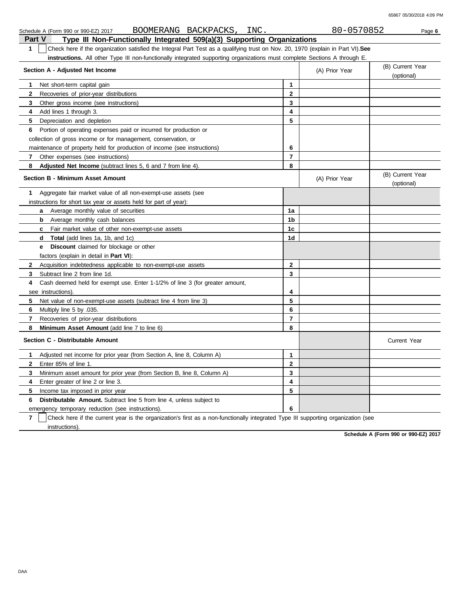65867 05/30/2018 4:09 PM

|                                                                                                                                                  | BOOMERANG BACKPACKS,<br>INC.<br>Schedule A (Form 990 or 990-EZ) 2017                                                             |                | 80-0570852       | Page 6                         |  |  |  |
|--------------------------------------------------------------------------------------------------------------------------------------------------|----------------------------------------------------------------------------------------------------------------------------------|----------------|------------------|--------------------------------|--|--|--|
| Part V                                                                                                                                           | Type III Non-Functionally Integrated 509(a)(3) Supporting Organizations                                                          |                |                  |                                |  |  |  |
| $\mathbf{1}$<br>Check here if the organization satisfied the Integral Part Test as a qualifying trust on Nov. 20, 1970 (explain in Part VI). See |                                                                                                                                  |                |                  |                                |  |  |  |
|                                                                                                                                                  | <b>instructions.</b> All other Type III non-functionally integrated supporting organizations must complete Sections A through E. |                |                  |                                |  |  |  |
|                                                                                                                                                  | Section A - Adjusted Net Income                                                                                                  | (A) Prior Year | (B) Current Year |                                |  |  |  |
|                                                                                                                                                  |                                                                                                                                  |                |                  | (optional)                     |  |  |  |
| $\mathbf 1$                                                                                                                                      | Net short-term capital gain                                                                                                      | 1              |                  |                                |  |  |  |
| 2                                                                                                                                                | Recoveries of prior-year distributions                                                                                           | $\mathbf{2}$   |                  |                                |  |  |  |
| 3                                                                                                                                                | Other gross income (see instructions)                                                                                            | 3              |                  |                                |  |  |  |
| 4                                                                                                                                                | Add lines 1 through 3.                                                                                                           | 4              |                  |                                |  |  |  |
| 5                                                                                                                                                | Depreciation and depletion                                                                                                       | 5              |                  |                                |  |  |  |
| 6                                                                                                                                                | Portion of operating expenses paid or incurred for production or                                                                 |                |                  |                                |  |  |  |
|                                                                                                                                                  | collection of gross income or for management, conservation, or                                                                   |                |                  |                                |  |  |  |
|                                                                                                                                                  | maintenance of property held for production of income (see instructions)                                                         | 6              |                  |                                |  |  |  |
| 7                                                                                                                                                | Other expenses (see instructions)                                                                                                | 7              |                  |                                |  |  |  |
| 8                                                                                                                                                | <b>Adjusted Net Income</b> (subtract lines 5, 6 and 7 from line 4).                                                              | 8              |                  |                                |  |  |  |
|                                                                                                                                                  | Section B - Minimum Asset Amount                                                                                                 |                | (A) Prior Year   | (B) Current Year<br>(optional) |  |  |  |
| $\mathbf 1$                                                                                                                                      | Aggregate fair market value of all non-exempt-use assets (see                                                                    |                |                  |                                |  |  |  |
|                                                                                                                                                  | instructions for short tax year or assets held for part of year):                                                                |                |                  |                                |  |  |  |
|                                                                                                                                                  | <b>a</b> Average monthly value of securities                                                                                     | 1a             |                  |                                |  |  |  |
|                                                                                                                                                  | Average monthly cash balances<br>b                                                                                               | 1b             |                  |                                |  |  |  |
|                                                                                                                                                  | Fair market value of other non-exempt-use assets<br>c.                                                                           | 1c             |                  |                                |  |  |  |
|                                                                                                                                                  | <b>Total</b> (add lines 1a, 1b, and 1c)<br>d                                                                                     | 1d             |                  |                                |  |  |  |
|                                                                                                                                                  | <b>Discount</b> claimed for blockage or other<br>e                                                                               |                |                  |                                |  |  |  |
|                                                                                                                                                  | factors (explain in detail in Part VI):                                                                                          |                |                  |                                |  |  |  |
| $\mathbf{2}$                                                                                                                                     | Acquisition indebtedness applicable to non-exempt-use assets                                                                     | $\mathbf{2}$   |                  |                                |  |  |  |
| 3                                                                                                                                                | Subtract line 2 from line 1d.                                                                                                    | 3              |                  |                                |  |  |  |
| 4                                                                                                                                                | Cash deemed held for exempt use. Enter 1-1/2% of line 3 (for greater amount,                                                     |                |                  |                                |  |  |  |
|                                                                                                                                                  | see instructions).                                                                                                               | 4              |                  |                                |  |  |  |
| 5                                                                                                                                                | Net value of non-exempt-use assets (subtract line 4 from line 3)                                                                 | 5              |                  |                                |  |  |  |
| 6                                                                                                                                                | Multiply line 5 by .035.                                                                                                         | 6              |                  |                                |  |  |  |
| 7                                                                                                                                                | Recoveries of prior-year distributions                                                                                           | $\overline{7}$ |                  |                                |  |  |  |
| 8                                                                                                                                                | Minimum Asset Amount (add line 7 to line 6)                                                                                      | 8              |                  |                                |  |  |  |
|                                                                                                                                                  | Section C - Distributable Amount                                                                                                 |                |                  | <b>Current Year</b>            |  |  |  |
| $\mathbf{1}$                                                                                                                                     | Adjusted net income for prior year (from Section A, line 8, Column A)                                                            | 1              |                  |                                |  |  |  |
| $\mathbf{2}$                                                                                                                                     | Enter 85% of line 1.                                                                                                             | $\mathbf{2}$   |                  |                                |  |  |  |
| 3                                                                                                                                                | Minimum asset amount for prior year (from Section B, line 8, Column A)                                                           | 3              |                  |                                |  |  |  |
| 4                                                                                                                                                | Enter greater of line 2 or line 3.                                                                                               | 4              |                  |                                |  |  |  |
| 5                                                                                                                                                | Income tax imposed in prior year                                                                                                 | 5              |                  |                                |  |  |  |
| 6                                                                                                                                                | <b>Distributable Amount.</b> Subtract line 5 from line 4, unless subject to                                                      |                |                  |                                |  |  |  |
|                                                                                                                                                  | emergency temporary reduction (see instructions).                                                                                | 6              |                  |                                |  |  |  |

**7** instructions). Check here if the current year is the organization's first as a non-functionally integrated Type III supporting organization (see

**Schedule A (Form 990 or 990-EZ) 2017**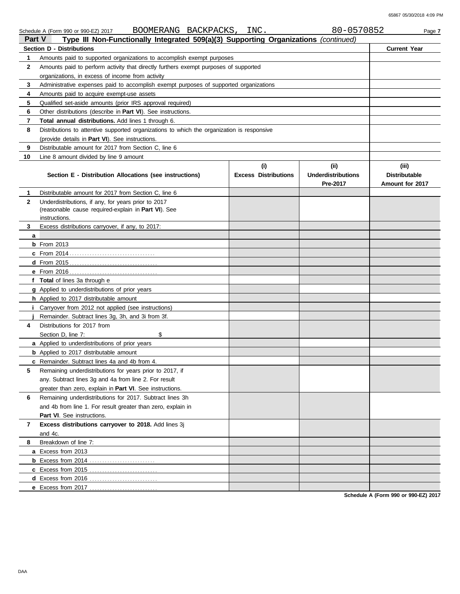| Part V<br>Type III Non-Functionally Integrated 509(a)(3) Supporting Organizations (continued) |                                                                                                            |                                    |                                               |                                                  |  |
|-----------------------------------------------------------------------------------------------|------------------------------------------------------------------------------------------------------------|------------------------------------|-----------------------------------------------|--------------------------------------------------|--|
|                                                                                               | <b>Section D - Distributions</b>                                                                           | <b>Current Year</b>                |                                               |                                                  |  |
| 1                                                                                             | Amounts paid to supported organizations to accomplish exempt purposes                                      |                                    |                                               |                                                  |  |
| 2                                                                                             | Amounts paid to perform activity that directly furthers exempt purposes of supported                       |                                    |                                               |                                                  |  |
|                                                                                               | organizations, in excess of income from activity                                                           |                                    |                                               |                                                  |  |
| 3                                                                                             | Administrative expenses paid to accomplish exempt purposes of supported organizations                      |                                    |                                               |                                                  |  |
| 4                                                                                             | Amounts paid to acquire exempt-use assets                                                                  |                                    |                                               |                                                  |  |
| 5                                                                                             | Qualified set-aside amounts (prior IRS approval required)                                                  |                                    |                                               |                                                  |  |
| 6                                                                                             | Other distributions (describe in <b>Part VI</b> ). See instructions.                                       |                                    |                                               |                                                  |  |
| 7                                                                                             | Total annual distributions. Add lines 1 through 6.                                                         |                                    |                                               |                                                  |  |
| 8                                                                                             | Distributions to attentive supported organizations to which the organization is responsive                 |                                    |                                               |                                                  |  |
|                                                                                               | (provide details in Part VI). See instructions.                                                            |                                    |                                               |                                                  |  |
| 9                                                                                             | Distributable amount for 2017 from Section C, line 6                                                       |                                    |                                               |                                                  |  |
| 10                                                                                            | Line 8 amount divided by line 9 amount                                                                     |                                    |                                               |                                                  |  |
|                                                                                               | Section E - Distribution Allocations (see instructions)                                                    | (i)<br><b>Excess Distributions</b> | (ii)<br><b>Underdistributions</b><br>Pre-2017 | (iii)<br><b>Distributable</b><br>Amount for 2017 |  |
| 1                                                                                             | Distributable amount for 2017 from Section C, line 6                                                       |                                    |                                               |                                                  |  |
| $\mathbf{2}$                                                                                  | Underdistributions, if any, for years prior to 2017<br>(reasonable cause required-explain in Part VI). See |                                    |                                               |                                                  |  |
| 3                                                                                             | instructions.                                                                                              |                                    |                                               |                                                  |  |
| a                                                                                             | Excess distributions carryover, if any, to 2017:                                                           |                                    |                                               |                                                  |  |
|                                                                                               | $b$ From 2013                                                                                              |                                    |                                               |                                                  |  |
|                                                                                               |                                                                                                            |                                    |                                               |                                                  |  |
|                                                                                               |                                                                                                            |                                    |                                               |                                                  |  |
|                                                                                               |                                                                                                            |                                    |                                               |                                                  |  |
|                                                                                               | f Total of lines 3a through e                                                                              |                                    |                                               |                                                  |  |
|                                                                                               | <b>g</b> Applied to underdistributions of prior years                                                      |                                    |                                               |                                                  |  |
|                                                                                               | <b>h</b> Applied to 2017 distributable amount                                                              |                                    |                                               |                                                  |  |
|                                                                                               | <i>i</i> Carryover from 2012 not applied (see instructions)                                                |                                    |                                               |                                                  |  |
|                                                                                               | Remainder. Subtract lines 3g, 3h, and 3i from 3f.                                                          |                                    |                                               |                                                  |  |
| 4                                                                                             | Distributions for 2017 from                                                                                |                                    |                                               |                                                  |  |
|                                                                                               | \$<br>Section D, line 7:                                                                                   |                                    |                                               |                                                  |  |
|                                                                                               | <b>a</b> Applied to underdistributions of prior years                                                      |                                    |                                               |                                                  |  |
|                                                                                               | <b>b</b> Applied to 2017 distributable amount                                                              |                                    |                                               |                                                  |  |
|                                                                                               | c Remainder. Subtract lines 4a and 4b from 4.                                                              |                                    |                                               |                                                  |  |
|                                                                                               | Remaining underdistributions for years prior to 2017, if                                                   |                                    |                                               |                                                  |  |
|                                                                                               | any. Subtract lines 3q and 4a from line 2. For result                                                      |                                    |                                               |                                                  |  |
|                                                                                               | greater than zero, explain in Part VI. See instructions.                                                   |                                    |                                               |                                                  |  |
| 6                                                                                             | Remaining underdistributions for 2017. Subtract lines 3h                                                   |                                    |                                               |                                                  |  |
|                                                                                               | and 4b from line 1. For result greater than zero, explain in                                               |                                    |                                               |                                                  |  |
|                                                                                               | <b>Part VI.</b> See instructions.                                                                          |                                    |                                               |                                                  |  |
| 7                                                                                             | Excess distributions carryover to 2018. Add lines 3j                                                       |                                    |                                               |                                                  |  |
|                                                                                               | and 4c.                                                                                                    |                                    |                                               |                                                  |  |
| 8                                                                                             | Breakdown of line 7:                                                                                       |                                    |                                               |                                                  |  |
|                                                                                               | a Excess from 2013                                                                                         |                                    |                                               |                                                  |  |
|                                                                                               | <b>b</b> Excess from 2014                                                                                  |                                    |                                               |                                                  |  |
|                                                                                               | <b>c</b> Excess from 2015                                                                                  |                                    |                                               |                                                  |  |
|                                                                                               | d Excess from 2016<br>.                                                                                    |                                    |                                               |                                                  |  |
|                                                                                               | e Excess from 2017                                                                                         |                                    |                                               |                                                  |  |

**Schedule A (Form 990 or 990-EZ) 2017**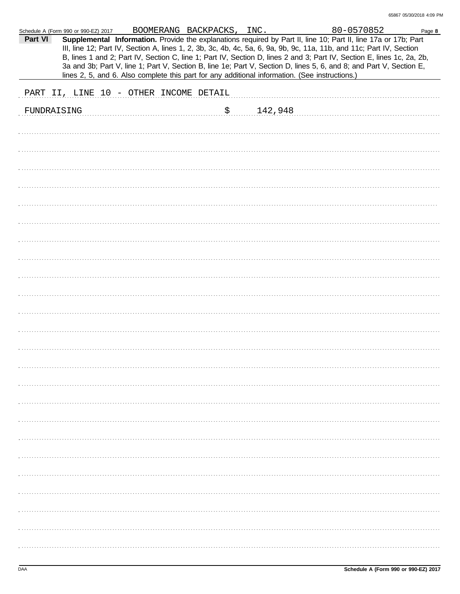|             | Schedule A (Form 990 or 990-EZ) 2017 |                                        | BOOMERANG BACKPACKS, INC. |         | 80-0570852                                                                                                                                                                                                                                                                                                                                                                                                                                                                               | Page 8 |
|-------------|--------------------------------------|----------------------------------------|---------------------------|---------|------------------------------------------------------------------------------------------------------------------------------------------------------------------------------------------------------------------------------------------------------------------------------------------------------------------------------------------------------------------------------------------------------------------------------------------------------------------------------------------|--------|
| Part VI     |                                      |                                        |                           |         | Supplemental Information. Provide the explanations required by Part II, line 10; Part II, line 17a or 17b; Part<br>III, line 12; Part IV, Section A, lines 1, 2, 3b, 3c, 4b, 4c, 5a, 6, 9a, 9b, 9c, 11a, 11b, and 11c; Part IV, Section<br>B, lines 1 and 2; Part IV, Section C, line 1; Part IV, Section D, lines 2 and 3; Part IV, Section E, lines 1c, 2a, 2b,<br>3a and 3b; Part V, line 1; Part V, Section B, line 1e; Part V, Section D, lines 5, 6, and 8; and Part V, Section E, |        |
|             |                                      |                                        |                           |         | lines 2, 5, and 6. Also complete this part for any additional information. (See instructions.)                                                                                                                                                                                                                                                                                                                                                                                           |        |
|             |                                      |                                        |                           |         |                                                                                                                                                                                                                                                                                                                                                                                                                                                                                          |        |
|             |                                      | PART II, LINE 10 - OTHER INCOME DETAIL |                           |         |                                                                                                                                                                                                                                                                                                                                                                                                                                                                                          |        |
| FUNDRAISING |                                      |                                        | $\mathfrak{S}_1$          | 142,948 |                                                                                                                                                                                                                                                                                                                                                                                                                                                                                          |        |
|             |                                      |                                        |                           |         |                                                                                                                                                                                                                                                                                                                                                                                                                                                                                          |        |
|             |                                      |                                        |                           |         |                                                                                                                                                                                                                                                                                                                                                                                                                                                                                          |        |
|             |                                      |                                        |                           |         |                                                                                                                                                                                                                                                                                                                                                                                                                                                                                          |        |
|             |                                      |                                        |                           |         |                                                                                                                                                                                                                                                                                                                                                                                                                                                                                          |        |
|             |                                      |                                        |                           |         |                                                                                                                                                                                                                                                                                                                                                                                                                                                                                          |        |
|             |                                      |                                        |                           |         |                                                                                                                                                                                                                                                                                                                                                                                                                                                                                          |        |
|             |                                      |                                        |                           |         |                                                                                                                                                                                                                                                                                                                                                                                                                                                                                          |        |
|             |                                      |                                        |                           |         |                                                                                                                                                                                                                                                                                                                                                                                                                                                                                          |        |
|             |                                      |                                        |                           |         |                                                                                                                                                                                                                                                                                                                                                                                                                                                                                          |        |
|             |                                      |                                        |                           |         |                                                                                                                                                                                                                                                                                                                                                                                                                                                                                          |        |
|             |                                      |                                        |                           |         |                                                                                                                                                                                                                                                                                                                                                                                                                                                                                          |        |
|             |                                      |                                        |                           |         |                                                                                                                                                                                                                                                                                                                                                                                                                                                                                          |        |
|             |                                      |                                        |                           |         |                                                                                                                                                                                                                                                                                                                                                                                                                                                                                          |        |
|             |                                      |                                        |                           |         |                                                                                                                                                                                                                                                                                                                                                                                                                                                                                          |        |
|             |                                      |                                        |                           |         |                                                                                                                                                                                                                                                                                                                                                                                                                                                                                          |        |
|             |                                      |                                        |                           |         |                                                                                                                                                                                                                                                                                                                                                                                                                                                                                          |        |
|             |                                      |                                        |                           |         |                                                                                                                                                                                                                                                                                                                                                                                                                                                                                          |        |
|             |                                      |                                        |                           |         |                                                                                                                                                                                                                                                                                                                                                                                                                                                                                          |        |
|             |                                      |                                        |                           |         |                                                                                                                                                                                                                                                                                                                                                                                                                                                                                          |        |
|             |                                      |                                        |                           |         |                                                                                                                                                                                                                                                                                                                                                                                                                                                                                          |        |
|             |                                      |                                        |                           |         |                                                                                                                                                                                                                                                                                                                                                                                                                                                                                          |        |
|             |                                      |                                        |                           |         |                                                                                                                                                                                                                                                                                                                                                                                                                                                                                          |        |
|             |                                      |                                        |                           |         |                                                                                                                                                                                                                                                                                                                                                                                                                                                                                          |        |
|             |                                      |                                        |                           |         |                                                                                                                                                                                                                                                                                                                                                                                                                                                                                          |        |
|             |                                      |                                        |                           |         |                                                                                                                                                                                                                                                                                                                                                                                                                                                                                          |        |
|             |                                      |                                        |                           |         |                                                                                                                                                                                                                                                                                                                                                                                                                                                                                          |        |
|             |                                      |                                        |                           |         |                                                                                                                                                                                                                                                                                                                                                                                                                                                                                          |        |
|             |                                      |                                        |                           |         |                                                                                                                                                                                                                                                                                                                                                                                                                                                                                          |        |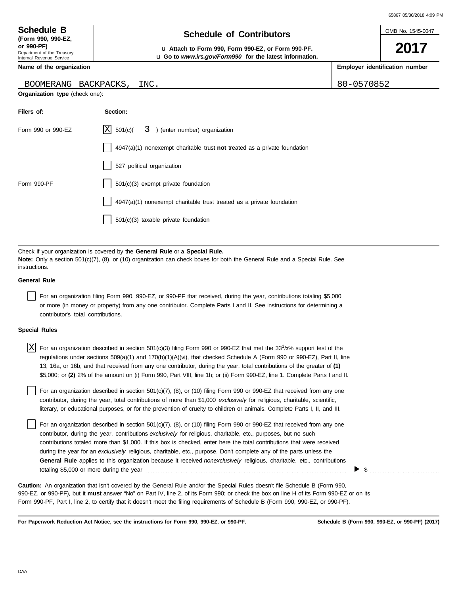OMB No. 1545-0047

**2017**

**Employer identification number**

| <b>Schedule B</b>  |  |  |
|--------------------|--|--|
| (Form 990, 990-EZ, |  |  |

Department of the Treasury Internal Revenue Service

# **Schedule of Contributors**

**or 990-PF)** u **Attach to Form 990, Form 990-EZ, or Form 990-PF.** u **Go to** *www.irs.gov/Form990* **for the latest information.**

**Name of the organization**

#### BOOMERANG BACKPACKS, INC. 80-0570852

**Organization type** (check one):

| Filers of:         | Section:                                                                           |
|--------------------|------------------------------------------------------------------------------------|
| Form 990 or 990-EZ | $ X $ 501(c)( $3$ ) (enter number) organization                                    |
|                    | $4947(a)(1)$ nonexempt charitable trust <b>not</b> treated as a private foundation |
|                    | 527 political organization                                                         |
| Form 990-PF        | 501(c)(3) exempt private foundation                                                |
|                    | $4947(a)(1)$ nonexempt charitable trust treated as a private foundation            |
|                    | $501(c)(3)$ taxable private foundation                                             |

Check if your organization is covered by the **General Rule** or a **Special Rule. Note:** Only a section 501(c)(7), (8), or (10) organization can check boxes for both the General Rule and a Special Rule. See instructions.

### **General Rule**

For an organization filing Form 990, 990-EZ, or 990-PF that received, during the year, contributions totaling \$5,000 or more (in money or property) from any one contributor. Complete Parts I and II. See instructions for determining a contributor's total contributions.

#### **Special Rules**

| $X$ For an organization described in section 501(c)(3) filing Form 990 or 990-EZ that met the 33 <sup>1</sup> /3% support test of the |
|---------------------------------------------------------------------------------------------------------------------------------------|
| regulations under sections 509(a)(1) and 170(b)(1)(A)(vi), that checked Schedule A (Form 990 or 990-EZ), Part II, line                |
| 13, 16a, or 16b, and that received from any one contributor, during the year, total contributions of the greater of (1)               |
| \$5,000; or (2) 2% of the amount on (i) Form 990, Part VIII, line 1h; or (ii) Form 990-EZ, line 1. Complete Parts I and II.           |

literary, or educational purposes, or for the prevention of cruelty to children or animals. Complete Parts I, II, and III. For an organization described in section 501(c)(7), (8), or (10) filing Form 990 or 990-EZ that received from any one contributor, during the year, total contributions of more than \$1,000 *exclusively* for religious, charitable, scientific,

For an organization described in section 501(c)(7), (8), or (10) filing Form 990 or 990-EZ that received from any one contributor, during the year, contributions *exclusively* for religious, charitable, etc., purposes, but no such contributions totaled more than \$1,000. If this box is checked, enter here the total contributions that were received during the year for an *exclusively* religious, charitable, etc., purpose. Don't complete any of the parts unless the **General Rule** applies to this organization because it received *nonexclusively* religious, charitable, etc., contributions totaling \$5,000 or more during the year . . . . . . . . . . . . . . . . . . . . . . . . . . . . . . . . . . . . . . . . . . . . . . . . . . . . . . . . . . . . . . . . . . . . . . . . . . . . . . . .

990-EZ, or 990-PF), but it **must** answer "No" on Part IV, line 2, of its Form 990; or check the box on line H of its Form 990-EZ or on its Form 990-PF, Part I, line 2, to certify that it doesn't meet the filing requirements of Schedule B (Form 990, 990-EZ, or 990-PF). **Caution:** An organization that isn't covered by the General Rule and/or the Special Rules doesn't file Schedule B (Form 990,

**For Paperwork Reduction Act Notice, see the instructions for Form 990, 990-EZ, or 990-PF.**

\$ . . . . . . . . . . . . . . . . . . . . . . . . . . . .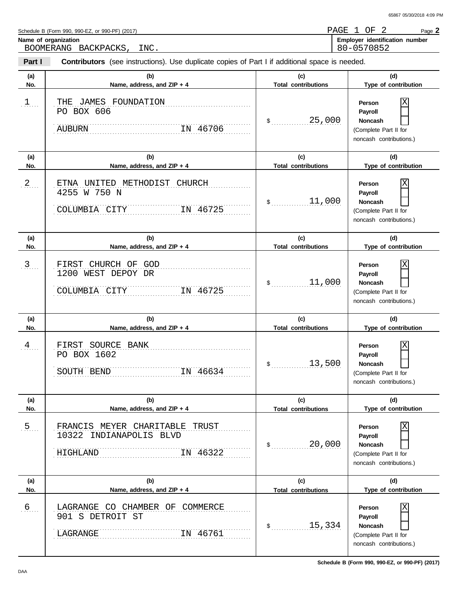Schedule B (Form 990, 990-EZ, or 990-PF) (2017)

BOOMERANG BACKPACKS, INC.

**Part I Contributors** (see instructions). Use duplicate copies of Part I if additional space is needed.

| (a)              | (b)                                                                                         | (c)                        | (d)                                                                                          |
|------------------|---------------------------------------------------------------------------------------------|----------------------------|----------------------------------------------------------------------------------------------|
| No.              | Name, address, and ZIP + 4                                                                  | <b>Total contributions</b> | Type of contribution                                                                         |
| $1$              | THE JAMES FOUNDATION<br>PO BOX 606<br>IN 46706<br><b>AUBURN</b>                             | 25,000<br>$\mathsf{\$}$    | Person<br>Payroll<br><b>Noncash</b><br>(Complete Part II for<br>noncash contributions.)      |
| (a)              | (b)                                                                                         | (c)                        | (d)                                                                                          |
| No.              | Name, address, and ZIP + 4                                                                  | <b>Total contributions</b> | Type of contribution                                                                         |
| $2_{1}$          | UNITED METHODIST CHURCH<br>ETNA<br>4255 W 750 N<br>COLUMBIA CITY<br>IN 46725                | 11,000<br>$\frac{1}{2}$    | Person<br>Payroll<br><b>Noncash</b><br>(Complete Part II for<br>noncash contributions.)      |
| (a)              | (b)                                                                                         | (c)                        | (d)                                                                                          |
| No.              | Name, address, and $ZIP + 4$                                                                | <b>Total contributions</b> | Type of contribution                                                                         |
| $\mathfrak{Z}$ . | FIRST CHURCH OF GOD<br>1200 WEST DEPOY DR<br>IN 46725<br>COLUMBIA CITY                      | 11,000<br>$\frac{1}{2}$    | Person<br>Payroll<br><b>Noncash</b><br>(Complete Part II for<br>noncash contributions.)      |
| (a)              | (b)                                                                                         | (c)                        | (d)                                                                                          |
| No.              | Name, address, and ZIP + 4                                                                  | <b>Total contributions</b> | Type of contribution                                                                         |
|                  |                                                                                             |                            |                                                                                              |
| $\frac{4}{1}$    | FIRST SOURCE BANK<br>PO BOX 1602<br>IN 46634<br>SOUTH BEND                                  | 13,500<br>$\mathsf{\$}$    | Person<br>Payroll<br><b>Noncash</b><br>(Complete Part II for<br>noncash contributions.)      |
| (a)              | (b)                                                                                         | (c)                        | (d)                                                                                          |
| No.              | Name, address, and ZIP + 4                                                                  | <b>Total contributions</b> | Type of contribution                                                                         |
| 5                | FRANCIS MEYER CHARITABLE TRUST<br>10322<br>INDIANAPOLIS BLVD<br>IN 46322<br><b>HIGHLAND</b> | 20,000<br>$\mathsf{\$}$    | Χ<br>Person<br>Payroll<br><b>Noncash</b><br>(Complete Part II for<br>noncash contributions.) |
| (a)              | (b)                                                                                         | (c)                        | (d)                                                                                          |
| No.              | Name, address, and ZIP + 4                                                                  | <b>Total contributions</b> | Type of contribution                                                                         |

Name of organization **Name of organization Employer** identification number Page **2** PAGE 1 OF 2 80-0570852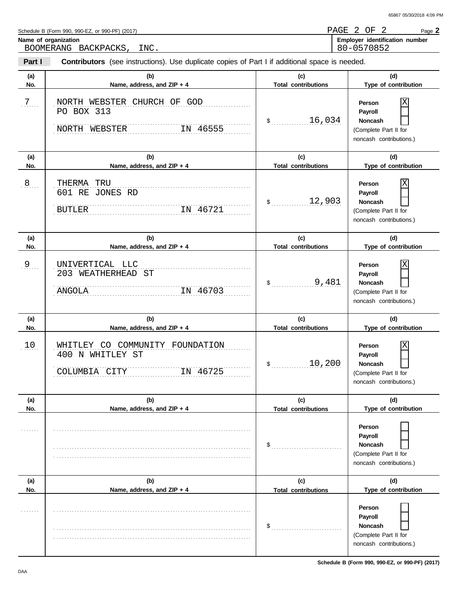**Schedule B (Form 990, 990-EZ, or 990-PF) (2017)**

| Schedule B (Form 990, 990-EZ, or 990-PF) (2017) |  |  |  |  |
|-------------------------------------------------|--|--|--|--|
|                                                 |  |  |  |  |

BOOMERANG BACKPACKS, INC.

**Contributors** (see instructions). Use duplicate copies of Part I if additional space is needed.

| Part I     | <b>Contributors</b> (see instructions). Use duplicate copies of Part I if additional space is needed. |                                   |                                                                                              |  |  |  |  |  |  |
|------------|-------------------------------------------------------------------------------------------------------|-----------------------------------|----------------------------------------------------------------------------------------------|--|--|--|--|--|--|
| (a)<br>No. | (b)<br>Name, address, and ZIP + 4                                                                     | (c)<br><b>Total contributions</b> | (d)<br>Type of contribution                                                                  |  |  |  |  |  |  |
| .7.        | NORTH WEBSTER CHURCH OF GOD<br>PO BOX 313<br>NORTH WEBSTER<br>IN 46555                                | 16,034<br>$\mathsf{\$}$           | Person<br>Payroll<br><b>Noncash</b><br>(Complete Part II for<br>noncash contributions.)      |  |  |  |  |  |  |
| (a)<br>No. | (b)<br>Name, address, and ZIP + 4                                                                     | (c)<br><b>Total contributions</b> | (d)<br>Type of contribution                                                                  |  |  |  |  |  |  |
| .8         | THERMA TRU<br>601 RE JONES RD<br><b>BUTLER</b><br>IN 46721                                            | 12,903<br>\$                      | Χ<br>Person<br>Payroll<br><b>Noncash</b><br>(Complete Part II for<br>noncash contributions.) |  |  |  |  |  |  |
| (a)<br>No. | (b)<br>Name, address, and ZIP + 4                                                                     | (c)<br><b>Total contributions</b> | (d)<br>Type of contribution                                                                  |  |  |  |  |  |  |
| .9         | UNIVERTICAL LLC<br>203 WEATHERHEAD ST<br>IN 46703<br>ANGOLA                                           | 9,481<br>$$_{\ldots}$             | Person<br>Payroll<br><b>Noncash</b><br>(Complete Part II for<br>noncash contributions.)      |  |  |  |  |  |  |
| (a)<br>No. | (b)<br>Name, address, and ZIP + 4                                                                     | (c)<br><b>Total contributions</b> | (d)<br>Type of contribution                                                                  |  |  |  |  |  |  |
| 10.        | WHITLEY CO COMMUNITY FOUNDATION<br>400 N WHITLEY ST<br>COLUMBIA CITY<br>IN 46725                      | 10,200<br>$\mathsf{S}_{\perp}$    | Χ<br>Person<br>Payroll<br><b>Noncash</b><br>(Complete Part II for<br>noncash contributions.) |  |  |  |  |  |  |
| (a)<br>No. | (b)<br>Name, address, and ZIP + 4                                                                     | (c)<br><b>Total contributions</b> | (d)<br>Type of contribution                                                                  |  |  |  |  |  |  |
|            |                                                                                                       | \$                                | Person<br>Payroll<br>Noncash<br>(Complete Part II for<br>noncash contributions.)             |  |  |  |  |  |  |
| (a)<br>No. | (b)<br>Name, address, and ZIP + 4                                                                     | (c)<br><b>Total contributions</b> | (d)<br>Type of contribution                                                                  |  |  |  |  |  |  |
|            |                                                                                                       | \$                                | Person<br>Payroll<br>Noncash<br>(Complete Part II for<br>noncash contributions.)             |  |  |  |  |  |  |

Name of organization **Name of organization Employer** identification number Page **2** PAGE 2 OF 2 80-0570852 65867 05/30/2018 4:09 PM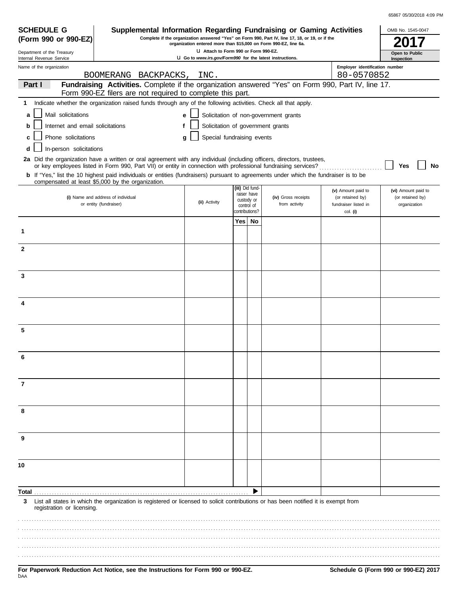| 65867 05/30/2018 4:09 PM |  |
|--------------------------|--|
|                          |  |

| <b>SCHEDULE G</b>                                      | Supplemental Information Regarding Fundraising or Gaming Activities                                                                                                                                                                      |                                   |                              |                                |                                       |                                              | OMB No. 1545-0047                |
|--------------------------------------------------------|------------------------------------------------------------------------------------------------------------------------------------------------------------------------------------------------------------------------------------------|-----------------------------------|------------------------------|--------------------------------|---------------------------------------|----------------------------------------------|----------------------------------|
|                                                        | Complete if the organization answered "Yes" on Form 990, Part IV, line 17, 18, or 19, or if the<br>(Form 990 or 990-EZ)<br>organization entered more than \$15,000 on Form 990-EZ, line 6a.                                              |                                   |                              |                                |                                       |                                              |                                  |
| Department of the Treasury<br>Internal Revenue Service | U Attach to Form 990 or Form 990-EZ.<br>LI Go to www.irs.gov/Form990 for the latest instructions.                                                                                                                                        |                                   |                              |                                |                                       | Open to Public<br>Inspection                 |                                  |
| Name of the organization                               | BOOMERANG BACKPACKS,                                                                                                                                                                                                                     | INC.                              |                              |                                |                                       | Employer identification number<br>80-0570852 |                                  |
| Part I                                                 | Fundraising Activities. Complete if the organization answered "Yes" on Form 990, Part IV, line 17.<br>Form 990-EZ filers are not required to complete this part.                                                                         |                                   |                              |                                |                                       |                                              |                                  |
| 1                                                      | Indicate whether the organization raised funds through any of the following activities. Check all that apply.                                                                                                                            |                                   |                              |                                |                                       |                                              |                                  |
| Mail solicitations<br>a                                |                                                                                                                                                                                                                                          | e                                 |                              |                                | Solicitation of non-government grants |                                              |                                  |
| Internet and email solicitations                       | f                                                                                                                                                                                                                                        | Solicitation of government grants |                              |                                |                                       |                                              |                                  |
| b                                                      |                                                                                                                                                                                                                                          |                                   |                              |                                |                                       |                                              |                                  |
| Phone solicitations<br>C                               |                                                                                                                                                                                                                                          | Special fundraising events<br>a   |                              |                                |                                       |                                              |                                  |
| In-person solicitations<br>d                           |                                                                                                                                                                                                                                          |                                   |                              |                                |                                       |                                              |                                  |
|                                                        | 2a Did the organization have a written or oral agreement with any individual (including officers, directors, trustees,<br>or key employees listed in Form 990, Part VII) or entity in connection with professional fundraising services? |                                   |                              |                                |                                       |                                              | No<br>Yes                        |
|                                                        | b If "Yes," list the 10 highest paid individuals or entities (fundraisers) pursuant to agreements under which the fundraiser is to be<br>compensated at least \$5,000 by the organization.                                               |                                   |                              |                                |                                       |                                              |                                  |
|                                                        |                                                                                                                                                                                                                                          |                                   |                              | (iii) Did fund-<br>raiser have |                                       | (v) Amount paid to                           | (vi) Amount paid to              |
|                                                        | (i) Name and address of individual<br>or entity (fundraiser)                                                                                                                                                                             | (ii) Activity                     |                              | custody or                     | (iv) Gross receipts<br>from activity  | (or retained by)<br>fundraiser listed in     | (or retained by)<br>organization |
|                                                        |                                                                                                                                                                                                                                          |                                   | control of<br>contributions? |                                |                                       | col. (i)                                     |                                  |
|                                                        |                                                                                                                                                                                                                                          |                                   | Yes l                        | No                             |                                       |                                              |                                  |
| 1                                                      |                                                                                                                                                                                                                                          |                                   |                              |                                |                                       |                                              |                                  |
| 2                                                      |                                                                                                                                                                                                                                          |                                   |                              |                                |                                       |                                              |                                  |
|                                                        |                                                                                                                                                                                                                                          |                                   |                              |                                |                                       |                                              |                                  |
| 3                                                      |                                                                                                                                                                                                                                          |                                   |                              |                                |                                       |                                              |                                  |
|                                                        |                                                                                                                                                                                                                                          |                                   |                              |                                |                                       |                                              |                                  |
| 4                                                      |                                                                                                                                                                                                                                          |                                   |                              |                                |                                       |                                              |                                  |
|                                                        |                                                                                                                                                                                                                                          |                                   |                              |                                |                                       |                                              |                                  |
| 5                                                      |                                                                                                                                                                                                                                          |                                   |                              |                                |                                       |                                              |                                  |
|                                                        |                                                                                                                                                                                                                                          |                                   |                              |                                |                                       |                                              |                                  |
|                                                        |                                                                                                                                                                                                                                          |                                   |                              |                                |                                       |                                              |                                  |
|                                                        |                                                                                                                                                                                                                                          |                                   |                              |                                |                                       |                                              |                                  |
| 7                                                      |                                                                                                                                                                                                                                          |                                   |                              |                                |                                       |                                              |                                  |
|                                                        |                                                                                                                                                                                                                                          |                                   |                              |                                |                                       |                                              |                                  |
| 8                                                      |                                                                                                                                                                                                                                          |                                   |                              |                                |                                       |                                              |                                  |
|                                                        |                                                                                                                                                                                                                                          |                                   |                              |                                |                                       |                                              |                                  |
| 9                                                      |                                                                                                                                                                                                                                          |                                   |                              |                                |                                       |                                              |                                  |
|                                                        |                                                                                                                                                                                                                                          |                                   |                              |                                |                                       |                                              |                                  |
| 10                                                     |                                                                                                                                                                                                                                          |                                   |                              |                                |                                       |                                              |                                  |
|                                                        |                                                                                                                                                                                                                                          |                                   |                              |                                |                                       |                                              |                                  |
| Total.                                                 |                                                                                                                                                                                                                                          |                                   |                              |                                |                                       |                                              |                                  |
| 3<br>registration or licensing.                        | List all states in which the organization is registered or licensed to solicit contributions or has been notified it is exempt from                                                                                                      |                                   |                              |                                |                                       |                                              |                                  |
|                                                        |                                                                                                                                                                                                                                          |                                   |                              |                                |                                       |                                              |                                  |
|                                                        |                                                                                                                                                                                                                                          |                                   |                              |                                |                                       |                                              |                                  |
|                                                        |                                                                                                                                                                                                                                          |                                   |                              |                                |                                       |                                              |                                  |
|                                                        |                                                                                                                                                                                                                                          |                                   |                              |                                |                                       |                                              |                                  |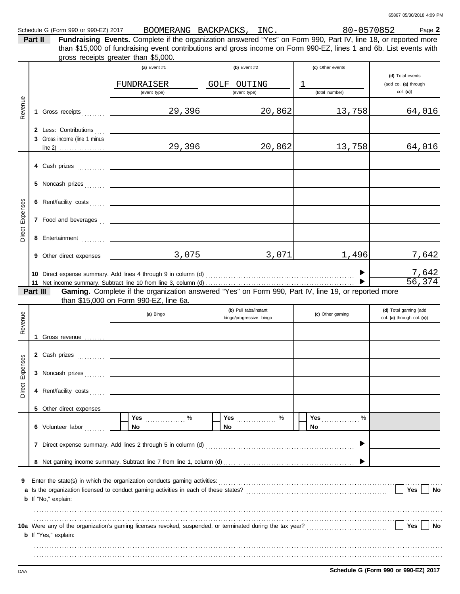**Part II Fundraising Events.** Complete if the organization answered "Yes" on Form 990, Part IV, line 18, or reported more gross receipts greater than \$5,000. than \$15,000 of fundraising event contributions and gross income on Form 990-EZ, lines 1 and 6b. List events with

|          |          |                                                                           | (a) Event #1<br>FUNDRAISER<br>(event type)                                                                                                    | $(b)$ Event #2<br>OUTING<br>GOLF<br>(event type) | (c) Other events<br>T<br>(total number) | (d) Total events<br>(add col. (a) through<br>$col.$ (c)) |  |  |  |
|----------|----------|---------------------------------------------------------------------------|-----------------------------------------------------------------------------------------------------------------------------------------------|--------------------------------------------------|-----------------------------------------|----------------------------------------------------------|--|--|--|
| Revenue  |          | 1 Gross receipts                                                          | 29,396                                                                                                                                        | 20,862                                           | 13,758                                  | 64,016                                                   |  |  |  |
|          |          | 2 Less: Contributions<br>3 Gross income (line 1 minus<br>line 2) <u> </u> | 29,396                                                                                                                                        | 20,862                                           | 13,758                                  | 64,016                                                   |  |  |  |
|          |          | 4 Cash prizes                                                             |                                                                                                                                               |                                                  |                                         |                                                          |  |  |  |
|          |          | 5 Noncash prizes                                                          |                                                                                                                                               |                                                  |                                         |                                                          |  |  |  |
| Expenses |          | 6 Rent/facility costs                                                     |                                                                                                                                               |                                                  |                                         |                                                          |  |  |  |
| Direct   |          | 7 Food and beverages                                                      |                                                                                                                                               |                                                  |                                         |                                                          |  |  |  |
|          |          | 8 Entertainment                                                           |                                                                                                                                               |                                                  |                                         |                                                          |  |  |  |
|          |          | 9 Other direct expenses                                                   | 3,075                                                                                                                                         | 3,071                                            | 1,496                                   | 7,642                                                    |  |  |  |
|          |          |                                                                           |                                                                                                                                               |                                                  |                                         | $\frac{7,642}{56,374}$                                   |  |  |  |
|          | Part III |                                                                           | Gaming. Complete if the organization answered "Yes" on Form 990, Part IV, line 19, or reported more<br>than \$15,000 on Form 990-EZ, line 6a. |                                                  |                                         |                                                          |  |  |  |
| Revenue  |          |                                                                           | (a) Bingo                                                                                                                                     | (b) Pull tabs/instant<br>bingo/progressive bingo | (c) Other gaming                        | (d) Total gaming (add<br>col. (a) through col. (c))      |  |  |  |
|          |          | 1 Gross revenue                                                           |                                                                                                                                               |                                                  |                                         |                                                          |  |  |  |
|          |          |                                                                           |                                                                                                                                               |                                                  |                                         |                                                          |  |  |  |
| Expenses |          | 2 Cash prizes                                                             |                                                                                                                                               |                                                  |                                         |                                                          |  |  |  |
|          |          | 3 Noncash prizes                                                          |                                                                                                                                               |                                                  |                                         |                                                          |  |  |  |
| Direct   |          | 4 Rent/facility costs                                                     |                                                                                                                                               |                                                  |                                         |                                                          |  |  |  |
|          |          | 5 Other direct expenses                                                   |                                                                                                                                               | %                                                | Yes<br>$\%$                             |                                                          |  |  |  |
|          |          | 6 Volunteer labor                                                         | No                                                                                                                                            | <b>Yes</b><br>No                                 | No                                      |                                                          |  |  |  |
|          |          |                                                                           |                                                                                                                                               |                                                  |                                         |                                                          |  |  |  |
|          |          |                                                                           |                                                                                                                                               |                                                  |                                         |                                                          |  |  |  |
| 9        |          | <b>b</b> If "No," explain:                                                | Enter the state(s) in which the organization conducts gaming activities:                                                                      |                                                  |                                         | Yes<br>No                                                |  |  |  |
|          |          | <b>b</b> If "Yes," explain:                                               |                                                                                                                                               |                                                  |                                         | Yes<br>No                                                |  |  |  |
|          |          |                                                                           |                                                                                                                                               |                                                  |                                         |                                                          |  |  |  |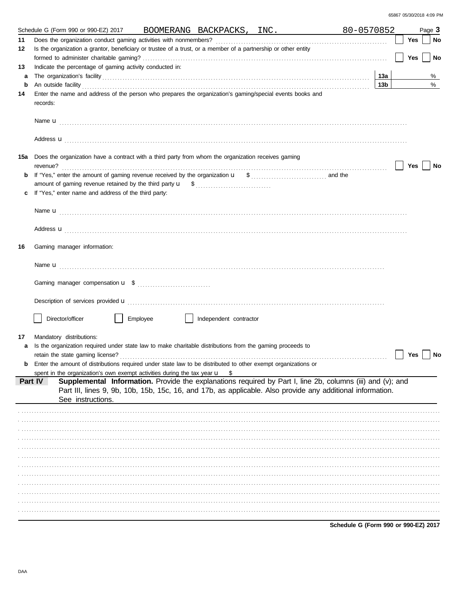|         | Schedule G (Form 990 or 990-EZ) 2017                                                                                                                                                                                                 |          |                        | BOOMERANG BACKPACKS, INC.                                                                                  | 80-0570852 |     | Page 3   |
|---------|--------------------------------------------------------------------------------------------------------------------------------------------------------------------------------------------------------------------------------------|----------|------------------------|------------------------------------------------------------------------------------------------------------|------------|-----|----------|
| 11      |                                                                                                                                                                                                                                      |          |                        |                                                                                                            |            | Yes | No       |
| 12      | Is the organization a grantor, beneficiary or trustee of a trust, or a member of a partnership or other entity                                                                                                                       |          |                        |                                                                                                            |            |     |          |
|         |                                                                                                                                                                                                                                      |          |                        |                                                                                                            |            | Yes | No       |
| 13      | Indicate the percentage of gaming activity conducted in:                                                                                                                                                                             |          |                        |                                                                                                            |            |     |          |
| a       |                                                                                                                                                                                                                                      |          |                        |                                                                                                            | 13a        |     | %        |
| b       | An outside facility <b>contained a set of the contract of the contract of the contract of the contract of the contract of the contract of the contract of the contract of the contract of the contract of the contract of the co</b> |          |                        |                                                                                                            | 13b        |     | $\%$     |
| 14      | Enter the name and address of the person who prepares the organization's gaming/special events books and                                                                                                                             |          |                        |                                                                                                            |            |     |          |
|         | records:                                                                                                                                                                                                                             |          |                        |                                                                                                            |            |     |          |
|         |                                                                                                                                                                                                                                      |          |                        |                                                                                                            |            |     |          |
|         |                                                                                                                                                                                                                                      |          |                        |                                                                                                            |            |     |          |
|         |                                                                                                                                                                                                                                      |          |                        |                                                                                                            |            |     |          |
|         | Address <b>u</b>                                                                                                                                                                                                                     |          |                        |                                                                                                            |            |     |          |
|         |                                                                                                                                                                                                                                      |          |                        |                                                                                                            |            |     |          |
| 15a     | Does the organization have a contract with a third party from whom the organization receives gaming                                                                                                                                  |          |                        |                                                                                                            |            |     |          |
|         |                                                                                                                                                                                                                                      |          |                        |                                                                                                            |            | Yes | No       |
| b       |                                                                                                                                                                                                                                      |          |                        |                                                                                                            |            |     |          |
|         |                                                                                                                                                                                                                                      |          |                        |                                                                                                            |            |     |          |
| c       | If "Yes," enter name and address of the third party:                                                                                                                                                                                 |          |                        |                                                                                                            |            |     |          |
|         |                                                                                                                                                                                                                                      |          |                        |                                                                                                            |            |     |          |
|         |                                                                                                                                                                                                                                      |          |                        |                                                                                                            |            |     |          |
|         |                                                                                                                                                                                                                                      |          |                        |                                                                                                            |            |     |          |
|         | Address <b>u</b>                                                                                                                                                                                                                     |          |                        |                                                                                                            |            |     |          |
| 16      | Gaming manager information:                                                                                                                                                                                                          |          |                        |                                                                                                            |            |     |          |
|         |                                                                                                                                                                                                                                      |          |                        |                                                                                                            |            |     |          |
|         |                                                                                                                                                                                                                                      |          |                        |                                                                                                            |            |     |          |
|         |                                                                                                                                                                                                                                      |          |                        |                                                                                                            |            |     |          |
|         |                                                                                                                                                                                                                                      |          |                        |                                                                                                            |            |     |          |
|         |                                                                                                                                                                                                                                      |          |                        |                                                                                                            |            |     |          |
|         | Description of services provided <b>u</b> electron and contact the contact of services provided <b>u</b>                                                                                                                             |          |                        |                                                                                                            |            |     |          |
|         |                                                                                                                                                                                                                                      |          |                        |                                                                                                            |            |     |          |
|         | Director/officer                                                                                                                                                                                                                     | Employee | Independent contractor |                                                                                                            |            |     |          |
|         |                                                                                                                                                                                                                                      |          |                        |                                                                                                            |            |     |          |
| 17      | Mandatory distributions:                                                                                                                                                                                                             |          |                        |                                                                                                            |            |     |          |
| a       | Is the organization required under state law to make charitable distributions from the gaming proceeds to                                                                                                                            |          |                        |                                                                                                            |            |     |          |
|         |                                                                                                                                                                                                                                      |          |                        |                                                                                                            |            |     | Yes   No |
| b       | Enter the amount of distributions required under state law to be distributed to other exempt organizations or                                                                                                                        |          |                        |                                                                                                            |            |     |          |
|         | spent in the organization's own exempt activities during the tax year $\mathbf u$                                                                                                                                                    |          | - \$                   |                                                                                                            |            |     |          |
| Part IV |                                                                                                                                                                                                                                      |          |                        | Supplemental Information. Provide the explanations required by Part I, line 2b, columns (iii) and (v); and |            |     |          |
|         | See instructions.                                                                                                                                                                                                                    |          |                        | Part III, lines 9, 9b, 10b, 15b, 15c, 16, and 17b, as applicable. Also provide any additional information. |            |     |          |
|         |                                                                                                                                                                                                                                      |          |                        |                                                                                                            |            |     |          |
|         |                                                                                                                                                                                                                                      |          |                        |                                                                                                            |            |     |          |
|         |                                                                                                                                                                                                                                      |          |                        |                                                                                                            |            |     |          |
|         |                                                                                                                                                                                                                                      |          |                        |                                                                                                            |            |     |          |
|         |                                                                                                                                                                                                                                      |          |                        |                                                                                                            |            |     |          |
|         |                                                                                                                                                                                                                                      |          |                        |                                                                                                            |            |     |          |
|         |                                                                                                                                                                                                                                      |          |                        |                                                                                                            |            |     |          |
|         |                                                                                                                                                                                                                                      |          |                        |                                                                                                            |            |     |          |
|         |                                                                                                                                                                                                                                      |          |                        |                                                                                                            |            |     |          |
|         |                                                                                                                                                                                                                                      |          |                        |                                                                                                            |            |     |          |
|         |                                                                                                                                                                                                                                      |          |                        |                                                                                                            |            |     |          |
|         |                                                                                                                                                                                                                                      |          |                        |                                                                                                            |            |     |          |
|         |                                                                                                                                                                                                                                      |          |                        |                                                                                                            |            |     |          |
|         |                                                                                                                                                                                                                                      |          |                        |                                                                                                            |            |     |          |

Schedule G (Form 990 or 990-EZ) 2017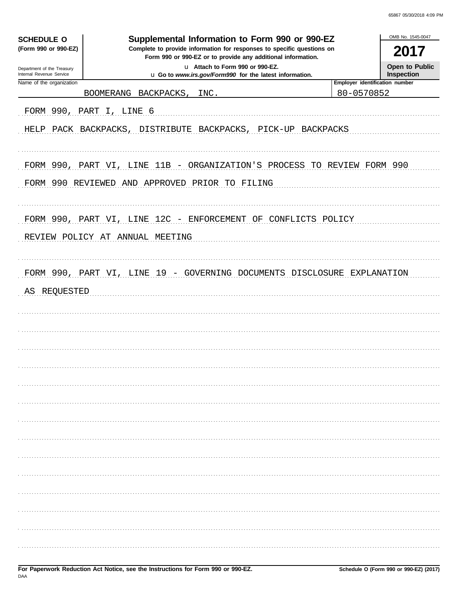| Supplemental Information to Form 990 or 990-EZ<br><b>SCHEDULE O</b><br>(Form 990 or 990-EZ)<br>Complete to provide information for responses to specific questions on<br>Form 990 or 990-EZ or to provide any additional information.<br>u Attach to Form 990 or 990-EZ. |                                                                                                                           |                                       |                              |  |  |
|--------------------------------------------------------------------------------------------------------------------------------------------------------------------------------------------------------------------------------------------------------------------------|---------------------------------------------------------------------------------------------------------------------------|---------------------------------------|------------------------------|--|--|
| Department of the Treasury<br>Internal Revenue Service                                                                                                                                                                                                                   | u Go to www.irs.gov/Form990 for the latest information.                                                                   |                                       | Open to Public<br>Inspection |  |  |
| Name of the organization                                                                                                                                                                                                                                                 |                                                                                                                           | <b>Employer identification number</b> |                              |  |  |
|                                                                                                                                                                                                                                                                          | BOOMERANG BACKPACKS,<br>INC.                                                                                              | 80-0570852                            |                              |  |  |
|                                                                                                                                                                                                                                                                          | FORM 990, PART I, LINE 6                                                                                                  |                                       |                              |  |  |
|                                                                                                                                                                                                                                                                          | HELP PACK BACKPACKS, DISTRIBUTE BACKPACKS, PICK-UP BACKPACKS                                                              |                                       |                              |  |  |
|                                                                                                                                                                                                                                                                          | FORM 990, PART VI, LINE 11B - ORGANIZATION'S PROCESS TO REVIEW FORM 990<br>FORM 990 REVIEWED AND APPROVED PRIOR TO FILING |                                       |                              |  |  |
|                                                                                                                                                                                                                                                                          | FORM 990, PART VI, LINE 12C - ENFORCEMENT OF CONFLICTS POLICY<br>REVIEW POLICY AT ANNUAL MEETING                          |                                       |                              |  |  |
| AS REQUESTED                                                                                                                                                                                                                                                             |                                                                                                                           |                                       |                              |  |  |
|                                                                                                                                                                                                                                                                          |                                                                                                                           |                                       |                              |  |  |
|                                                                                                                                                                                                                                                                          |                                                                                                                           |                                       |                              |  |  |
|                                                                                                                                                                                                                                                                          |                                                                                                                           |                                       |                              |  |  |
|                                                                                                                                                                                                                                                                          |                                                                                                                           |                                       |                              |  |  |
|                                                                                                                                                                                                                                                                          |                                                                                                                           |                                       |                              |  |  |
|                                                                                                                                                                                                                                                                          |                                                                                                                           |                                       |                              |  |  |
|                                                                                                                                                                                                                                                                          |                                                                                                                           |                                       |                              |  |  |
|                                                                                                                                                                                                                                                                          |                                                                                                                           |                                       |                              |  |  |
|                                                                                                                                                                                                                                                                          |                                                                                                                           |                                       |                              |  |  |
|                                                                                                                                                                                                                                                                          |                                                                                                                           |                                       |                              |  |  |
|                                                                                                                                                                                                                                                                          |                                                                                                                           |                                       |                              |  |  |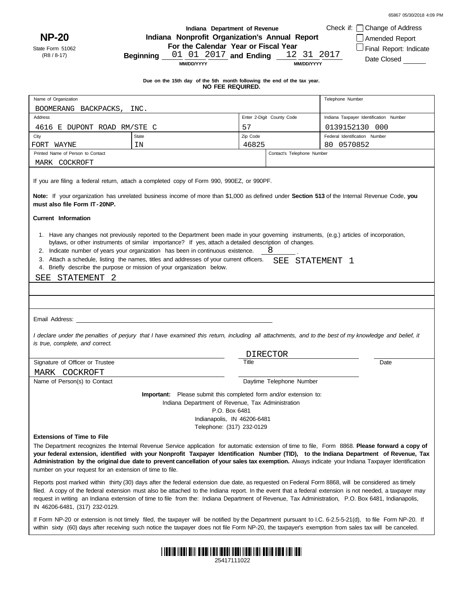**NP-20** State Form 51062

(R8 / 8-17)

#### **Indiana Department of Revenue Indiana Nonprofit Organization's Annual Report**

**For the Calendar Year or Fiscal Year**

**Beginning**  $\frac{01}{01}$   $\frac{01}{2017}$  and Ending  $\frac{12}{31}$   $\frac{31}{2017}$ 

Amended Report Final Report: Indicate Date Closed

Check if: Change of Address

**MM/DD/YYYY**

**MM/DD/YYYY**

**Due on the 15th day of the 5th month following the end of the tax year. NO FEE REQUIRED.**

| Name of Organization                                                                                                                                                                                                                                                                                                                                                                                                                                                                                                              |                                                                                                                                                                                                                                                                                                               |          |                            | Telephone Number                       |  |  |  |
|-----------------------------------------------------------------------------------------------------------------------------------------------------------------------------------------------------------------------------------------------------------------------------------------------------------------------------------------------------------------------------------------------------------------------------------------------------------------------------------------------------------------------------------|---------------------------------------------------------------------------------------------------------------------------------------------------------------------------------------------------------------------------------------------------------------------------------------------------------------|----------|----------------------------|----------------------------------------|--|--|--|
| BOOMERANG BACKPACKS,                                                                                                                                                                                                                                                                                                                                                                                                                                                                                                              | INC.                                                                                                                                                                                                                                                                                                          |          |                            |                                        |  |  |  |
| Address                                                                                                                                                                                                                                                                                                                                                                                                                                                                                                                           |                                                                                                                                                                                                                                                                                                               |          | Enter 2-Digit County Code  | Indiana Taxpayer Identification Number |  |  |  |
| 4616 E DUPONT ROAD RM/STE C                                                                                                                                                                                                                                                                                                                                                                                                                                                                                                       |                                                                                                                                                                                                                                                                                                               | 57       |                            | 0139152130 000                         |  |  |  |
| City                                                                                                                                                                                                                                                                                                                                                                                                                                                                                                                              | <b>State</b>                                                                                                                                                                                                                                                                                                  | Zip Code |                            | Federal Identification Number          |  |  |  |
| FORT WAYNE                                                                                                                                                                                                                                                                                                                                                                                                                                                                                                                        | ΙN                                                                                                                                                                                                                                                                                                            | 46825    |                            | 80 0570852                             |  |  |  |
| Printed Name of Person to Contact                                                                                                                                                                                                                                                                                                                                                                                                                                                                                                 |                                                                                                                                                                                                                                                                                                               |          | Contact's Telephone Number |                                        |  |  |  |
| MARK COCKROFT                                                                                                                                                                                                                                                                                                                                                                                                                                                                                                                     |                                                                                                                                                                                                                                                                                                               |          |                            |                                        |  |  |  |
| If you are filing a federal return, attach a completed copy of Form 990, 990EZ, or 990PF.<br>Note: If your organization has unrelated business income of more than \$1,000 as defined under Section 513 of the Internal Revenue Code, you                                                                                                                                                                                                                                                                                         |                                                                                                                                                                                                                                                                                                               |          |                            |                                        |  |  |  |
| must also file Form IT-20NP.                                                                                                                                                                                                                                                                                                                                                                                                                                                                                                      |                                                                                                                                                                                                                                                                                                               |          |                            |                                        |  |  |  |
| <b>Current Information</b>                                                                                                                                                                                                                                                                                                                                                                                                                                                                                                        |                                                                                                                                                                                                                                                                                                               |          |                            |                                        |  |  |  |
| 1. Have any changes not previously reported to the Department been made in your governing instruments, (e.g.) articles of incorporation,<br>bylaws, or other instruments of similar importance? If yes, attach a detailed description of changes.<br>2. Indicate number of years your organization has been in continuous existence.<br>8<br>3. Attach a schedule, listing the names, titles and addresses of your current officers.<br>SEE STATEMENT 1<br>4. Briefly describe the purpose or mission of your organization below. |                                                                                                                                                                                                                                                                                                               |          |                            |                                        |  |  |  |
| SEE<br>STATEMENT 2                                                                                                                                                                                                                                                                                                                                                                                                                                                                                                                |                                                                                                                                                                                                                                                                                                               |          |                            |                                        |  |  |  |
|                                                                                                                                                                                                                                                                                                                                                                                                                                                                                                                                   |                                                                                                                                                                                                                                                                                                               |          |                            |                                        |  |  |  |
|                                                                                                                                                                                                                                                                                                                                                                                                                                                                                                                                   |                                                                                                                                                                                                                                                                                                               |          |                            |                                        |  |  |  |
| Email Address: the contract of the contract of the contract of the contract of the contract of the contract of the contract of the contract of the contract of the contract of the contract of the contract of the contract of                                                                                                                                                                                                                                                                                                    |                                                                                                                                                                                                                                                                                                               |          |                            |                                        |  |  |  |
| is true, complete, and correct.                                                                                                                                                                                                                                                                                                                                                                                                                                                                                                   | I declare under the penalties of perjury that I have examined this return, including all attachments, and to the best of my knowledge and belief, it                                                                                                                                                          |          |                            |                                        |  |  |  |
|                                                                                                                                                                                                                                                                                                                                                                                                                                                                                                                                   |                                                                                                                                                                                                                                                                                                               |          |                            |                                        |  |  |  |
| Signature of Officer or Trustee                                                                                                                                                                                                                                                                                                                                                                                                                                                                                                   |                                                                                                                                                                                                                                                                                                               | Title    | <b>DIRECTOR</b>            | Date                                   |  |  |  |
|                                                                                                                                                                                                                                                                                                                                                                                                                                                                                                                                   |                                                                                                                                                                                                                                                                                                               |          |                            |                                        |  |  |  |
| MARK COCKROFT<br>Name of Person(s) to Contact                                                                                                                                                                                                                                                                                                                                                                                                                                                                                     |                                                                                                                                                                                                                                                                                                               |          | Daytime Telephone Number   |                                        |  |  |  |
|                                                                                                                                                                                                                                                                                                                                                                                                                                                                                                                                   |                                                                                                                                                                                                                                                                                                               |          |                            |                                        |  |  |  |
| <b>Important:</b> Please submit this completed form and/or extension to:<br>Indiana Department of Revenue, Tax Administration<br>P.O. Box 6481<br>Indianapolis, IN 46206-6481<br>Telephone: (317) 232-0129                                                                                                                                                                                                                                                                                                                        |                                                                                                                                                                                                                                                                                                               |          |                            |                                        |  |  |  |
| <b>Extensions of Time to File</b>                                                                                                                                                                                                                                                                                                                                                                                                                                                                                                 |                                                                                                                                                                                                                                                                                                               |          |                            |                                        |  |  |  |
| The Department recognizes the Internal Revenue Service application for automatic extension of time to file, Form 8868. Please forward a copy of<br>your federal extension, identified with your Nonprofit Taxpayer Identification Number (TID), to the Indiana Department of Revenue, Tax<br>Administration by the original due date to prevent cancellation of your sales tax exemption. Always indicate your Indiana Taxpayer Identification<br>number on your request for an extension of time to file.                        |                                                                                                                                                                                                                                                                                                               |          |                            |                                        |  |  |  |
| Reports post marked within thirty (30) days after the federal extension due date, as requested on Federal Form 8868, will be considered as timely<br>filed. A copy of the federal extension must also be attached to the Indiana report. In the event that a federal extension is not needed, a taxpayer may<br>request in writing an Indiana extension of time to file from the: Indiana Department of Revenue, Tax Administration, P.O. Box 6481, Indianapolis,<br>IN 46206-6481, (317) 232-0129.                               |                                                                                                                                                                                                                                                                                                               |          |                            |                                        |  |  |  |
|                                                                                                                                                                                                                                                                                                                                                                                                                                                                                                                                   | If Form NP-20 or extension is not timely filed, the taxpayer will be notified by the Department pursuant to I.C. 6-2.5-5-21(d), to file Form NP-20. If<br>within sixty (60) days after receiving such notice the taxpayer does not file Form NP-20, the taxpayer's exemption from sales tax will be canceled. |          |                            |                                        |  |  |  |